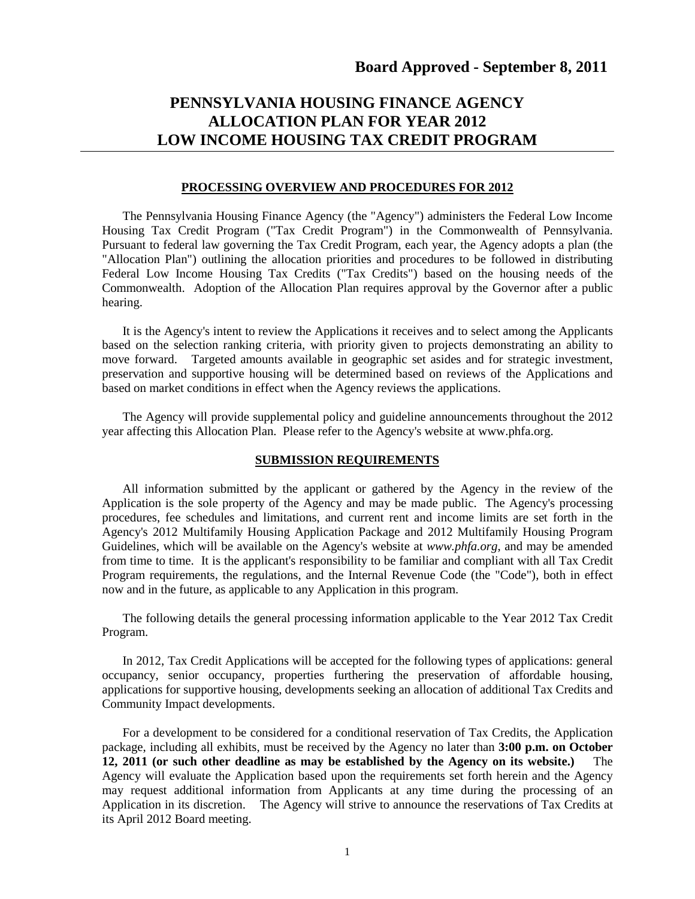# **PENNSYLVANIA HOUSING FINANCE AGENCY ALLOCATION PLAN FOR YEAR 2012 LOW INCOME HOUSING TAX CREDIT PROGRAM**

# **PROCESSING OVERVIEW AND PROCEDURES FOR 2012**

The Pennsylvania Housing Finance Agency (the "Agency") administers the Federal Low Income Housing Tax Credit Program ("Tax Credit Program") in the Commonwealth of Pennsylvania. Pursuant to federal law governing the Tax Credit Program, each year, the Agency adopts a plan (the "Allocation Plan") outlining the allocation priorities and procedures to be followed in distributing Federal Low Income Housing Tax Credits ("Tax Credits") based on the housing needs of the Commonwealth. Adoption of the Allocation Plan requires approval by the Governor after a public hearing.

It is the Agency's intent to review the Applications it receives and to select among the Applicants based on the selection ranking criteria, with priority given to projects demonstrating an ability to move forward. Targeted amounts available in geographic set asides and for strategic investment, preservation and supportive housing will be determined based on reviews of the Applications and based on market conditions in effect when the Agency reviews the applications.

The Agency will provide supplemental policy and guideline announcements throughout the 2012 year affecting this Allocation Plan. Please refer to the Agency's website at www.phfa.org.

#### **SUBMISSION REQUIREMENTS**

All information submitted by the applicant or gathered by the Agency in the review of the Application is the sole property of the Agency and may be made public. The Agency's processing procedures, fee schedules and limitations, and current rent and income limits are set forth in the Agency's 2012 Multifamily Housing Application Package and 2012 Multifamily Housing Program Guidelines, which will be available on the Agency's website at *www.phfa.org*, and may be amended from time to time. It is the applicant's responsibility to be familiar and compliant with all Tax Credit Program requirements, the regulations, and the Internal Revenue Code (the "Code"), both in effect now and in the future, as applicable to any Application in this program.

The following details the general processing information applicable to the Year 2012 Tax Credit Program.

In 2012, Tax Credit Applications will be accepted for the following types of applications: general occupancy, senior occupancy, properties furthering the preservation of affordable housing, applications for supportive housing, developments seeking an allocation of additional Tax Credits and Community Impact developments.

For a development to be considered for a conditional reservation of Tax Credits, the Application package, including all exhibits, must be received by the Agency no later than **3:00 p.m. on October 12, 2011** (or such other deadline as may be established by the Agency on its website.) Agency will evaluate the Application based upon the requirements set forth herein and the Agency may request additional information from Applicants at any time during the processing of an Application in its discretion. The Agency will strive to announce the reservations of Tax Credits at its April 2012 Board meeting.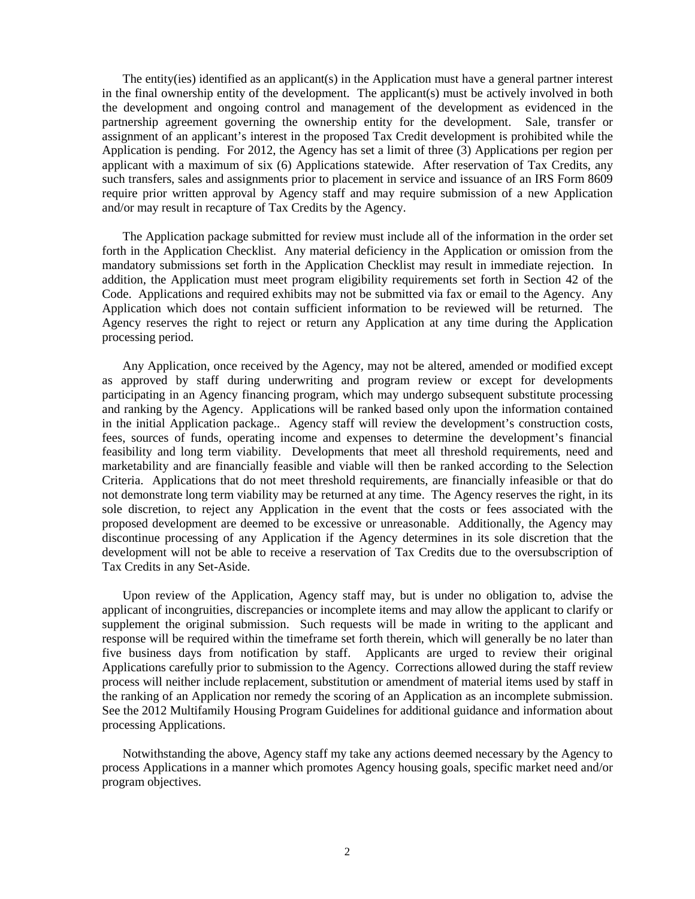The entity(ies) identified as an applicant(s) in the Application must have a general partner interest in the final ownership entity of the development. The applicant(s) must be actively involved in both the development and ongoing control and management of the development as evidenced in the partnership agreement governing the ownership entity for the development. Sale, transfer or assignment of an applicant's interest in the proposed Tax Credit development is prohibited while the Application is pending. For 2012, the Agency has set a limit of three (3) Applications per region per applicant with a maximum of six (6) Applications statewide. After reservation of Tax Credits, any such transfers, sales and assignments prior to placement in service and issuance of an IRS Form 8609 require prior written approval by Agency staff and may require submission of a new Application and/or may result in recapture of Tax Credits by the Agency.

The Application package submitted for review must include all of the information in the order set forth in the Application Checklist. Any material deficiency in the Application or omission from the mandatory submissions set forth in the Application Checklist may result in immediate rejection. In addition, the Application must meet program eligibility requirements set forth in Section 42 of the Code. Applications and required exhibits may not be submitted via fax or email to the Agency. Any Application which does not contain sufficient information to be reviewed will be returned. The Agency reserves the right to reject or return any Application at any time during the Application processing period.

Any Application, once received by the Agency, may not be altered, amended or modified except as approved by staff during underwriting and program review or except for developments participating in an Agency financing program, which may undergo subsequent substitute processing and ranking by the Agency. Applications will be ranked based only upon the information contained in the initial Application package.. Agency staff will review the development's construction costs, fees, sources of funds, operating income and expenses to determine the development's financial feasibility and long term viability. Developments that meet all threshold requirements, need and marketability and are financially feasible and viable will then be ranked according to the Selection Criteria. Applications that do not meet threshold requirements, are financially infeasible or that do not demonstrate long term viability may be returned at any time. The Agency reserves the right, in its sole discretion, to reject any Application in the event that the costs or fees associated with the proposed development are deemed to be excessive or unreasonable. Additionally, the Agency may discontinue processing of any Application if the Agency determines in its sole discretion that the development will not be able to receive a reservation of Tax Credits due to the oversubscription of Tax Credits in any Set-Aside.

Upon review of the Application, Agency staff may, but is under no obligation to, advise the applicant of incongruities, discrepancies or incomplete items and may allow the applicant to clarify or supplement the original submission. Such requests will be made in writing to the applicant and response will be required within the timeframe set forth therein, which will generally be no later than five business days from notification by staff. Applicants are urged to review their original Applications carefully prior to submission to the Agency. Corrections allowed during the staff review process will neither include replacement, substitution or amendment of material items used by staff in the ranking of an Application nor remedy the scoring of an Application as an incomplete submission. See the 2012 Multifamily Housing Program Guidelines for additional guidance and information about processing Applications.

Notwithstanding the above, Agency staff my take any actions deemed necessary by the Agency to process Applications in a manner which promotes Agency housing goals, specific market need and/or program objectives.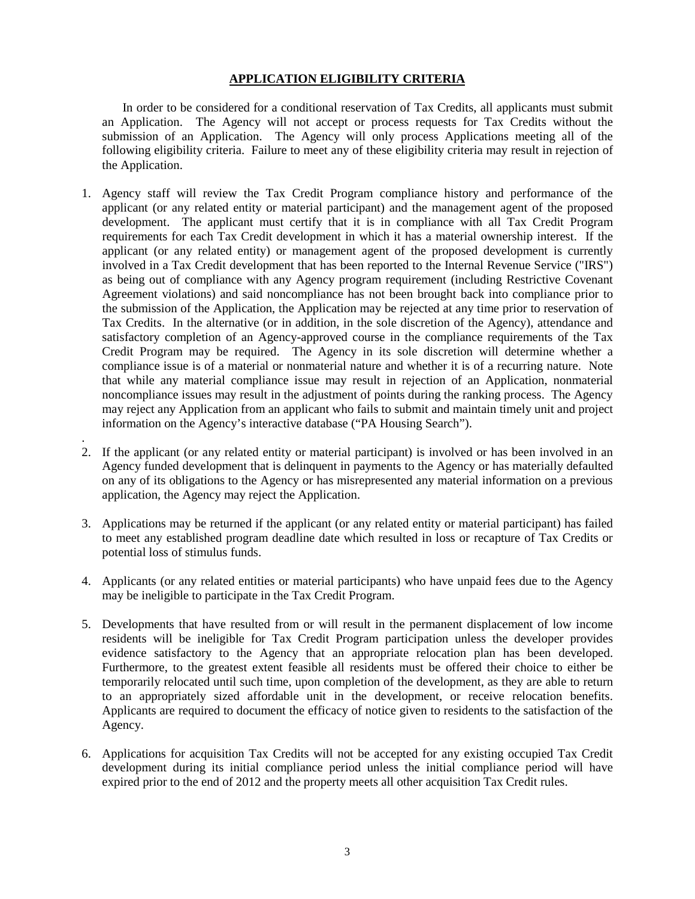# **APPLICATION ELIGIBILITY CRITERIA**

In order to be considered for a conditional reservation of Tax Credits, all applicants must submit an Application. The Agency will not accept or process requests for Tax Credits without the submission of an Application. The Agency will only process Applications meeting all of the following eligibility criteria. Failure to meet any of these eligibility criteria may result in rejection of the Application.

- 1. Agency staff will review the Tax Credit Program compliance history and performance of the applicant (or any related entity or material participant) and the management agent of the proposed development. The applicant must certify that it is in compliance with all Tax Credit Program requirements for each Tax Credit development in which it has a material ownership interest. If the applicant (or any related entity) or management agent of the proposed development is currently involved in a Tax Credit development that has been reported to the Internal Revenue Service ("IRS") as being out of compliance with any Agency program requirement (including Restrictive Covenant Agreement violations) and said noncompliance has not been brought back into compliance prior to the submission of the Application, the Application may be rejected at any time prior to reservation of Tax Credits. In the alternative (or in addition, in the sole discretion of the Agency), attendance and satisfactory completion of an Agency-approved course in the compliance requirements of the Tax Credit Program may be required. The Agency in its sole discretion will determine whether a compliance issue is of a material or nonmaterial nature and whether it is of a recurring nature. Note that while any material compliance issue may result in rejection of an Application, nonmaterial noncompliance issues may result in the adjustment of points during the ranking process. The Agency may reject any Application from an applicant who fails to submit and maintain timely unit and project information on the Agency's interactive database ("PA Housing Search").
- . 2. If the applicant (or any related entity or material participant) is involved or has been involved in an Agency funded development that is delinquent in payments to the Agency or has materially defaulted on any of its obligations to the Agency or has misrepresented any material information on a previous application, the Agency may reject the Application.
- 3. Applications may be returned if the applicant (or any related entity or material participant) has failed to meet any established program deadline date which resulted in loss or recapture of Tax Credits or potential loss of stimulus funds.
- 4. Applicants (or any related entities or material participants) who have unpaid fees due to the Agency may be ineligible to participate in the Tax Credit Program.
- 5. Developments that have resulted from or will result in the permanent displacement of low income residents will be ineligible for Tax Credit Program participation unless the developer provides evidence satisfactory to the Agency that an appropriate relocation plan has been developed. Furthermore, to the greatest extent feasible all residents must be offered their choice to either be temporarily relocated until such time, upon completion of the development, as they are able to return to an appropriately sized affordable unit in the development, or receive relocation benefits. Applicants are required to document the efficacy of notice given to residents to the satisfaction of the Agency.
- 6. Applications for acquisition Tax Credits will not be accepted for any existing occupied Tax Credit development during its initial compliance period unless the initial compliance period will have expired prior to the end of 2012 and the property meets all other acquisition Tax Credit rules.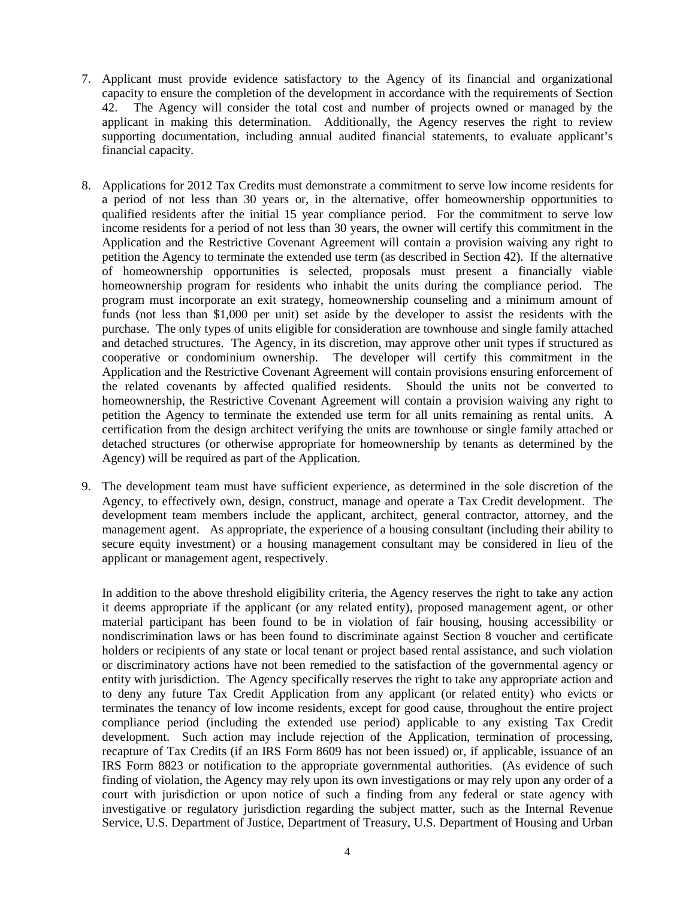- 7. Applicant must provide evidence satisfactory to the Agency of its financial and organizational capacity to ensure the completion of the development in accordance with the requirements of Section 42. The Agency will consider the total cost and number of projects owned or managed by the applicant in making this determination. Additionally, the Agency reserves the right to review supporting documentation, including annual audited financial statements, to evaluate applicant's financial capacity.
- 8. Applications for 2012 Tax Credits must demonstrate a commitment to serve low income residents for a period of not less than 30 years or, in the alternative, offer homeownership opportunities to qualified residents after the initial 15 year compliance period. For the commitment to serve low income residents for a period of not less than 30 years, the owner will certify this commitment in the Application and the Restrictive Covenant Agreement will contain a provision waiving any right to petition the Agency to terminate the extended use term (as described in Section 42). If the alternative of homeownership opportunities is selected, proposals must present a financially viable homeownership program for residents who inhabit the units during the compliance period. The program must incorporate an exit strategy, homeownership counseling and a minimum amount of funds (not less than \$1,000 per unit) set aside by the developer to assist the residents with the purchase. The only types of units eligible for consideration are townhouse and single family attached and detached structures. The Agency, in its discretion, may approve other unit types if structured as cooperative or condominium ownership. The developer will certify this commitment in the Application and the Restrictive Covenant Agreement will contain provisions ensuring enforcement of the related covenants by affected qualified residents. Should the units not be converted to homeownership, the Restrictive Covenant Agreement will contain a provision waiving any right to petition the Agency to terminate the extended use term for all units remaining as rental units. A certification from the design architect verifying the units are townhouse or single family attached or detached structures (or otherwise appropriate for homeownership by tenants as determined by the Agency) will be required as part of the Application.
- 9. The development team must have sufficient experience, as determined in the sole discretion of the Agency, to effectively own, design, construct, manage and operate a Tax Credit development. The development team members include the applicant, architect, general contractor, attorney, and the management agent. As appropriate, the experience of a housing consultant (including their ability to secure equity investment) or a housing management consultant may be considered in lieu of the applicant or management agent, respectively.

In addition to the above threshold eligibility criteria, the Agency reserves the right to take any action it deems appropriate if the applicant (or any related entity), proposed management agent, or other material participant has been found to be in violation of fair housing, housing accessibility or nondiscrimination laws or has been found to discriminate against Section 8 voucher and certificate holders or recipients of any state or local tenant or project based rental assistance, and such violation or discriminatory actions have not been remedied to the satisfaction of the governmental agency or entity with jurisdiction. The Agency specifically reserves the right to take any appropriate action and to deny any future Tax Credit Application from any applicant (or related entity) who evicts or terminates the tenancy of low income residents, except for good cause, throughout the entire project compliance period (including the extended use period) applicable to any existing Tax Credit development. Such action may include rejection of the Application, termination of processing, recapture of Tax Credits (if an IRS Form 8609 has not been issued) or, if applicable, issuance of an IRS Form 8823 or notification to the appropriate governmental authorities. (As evidence of such finding of violation, the Agency may rely upon its own investigations or may rely upon any order of a court with jurisdiction or upon notice of such a finding from any federal or state agency with investigative or regulatory jurisdiction regarding the subject matter, such as the Internal Revenue Service, U.S. Department of Justice, Department of Treasury, U.S. Department of Housing and Urban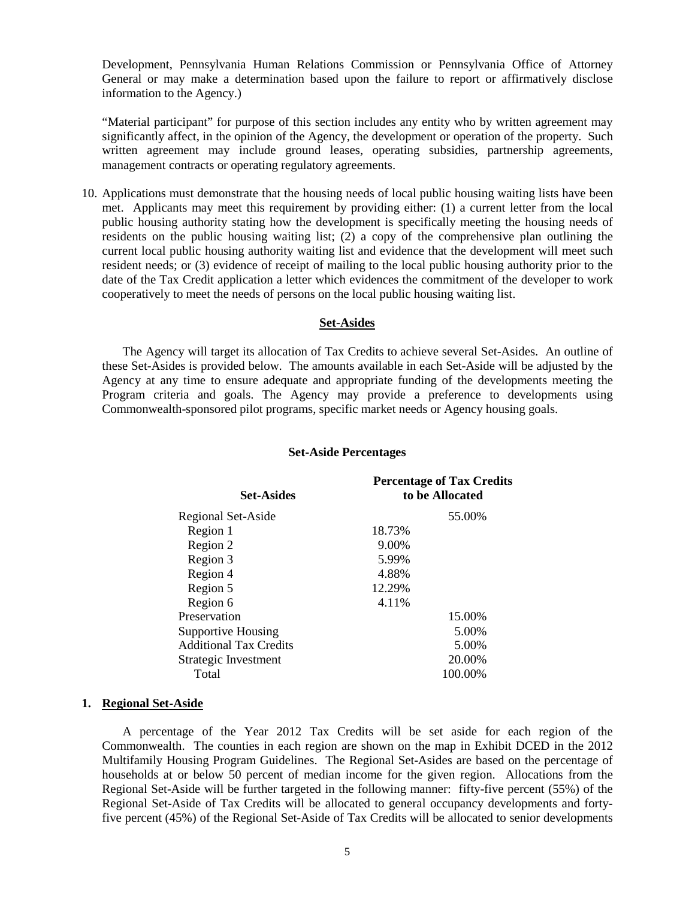Development, Pennsylvania Human Relations Commission or Pennsylvania Office of Attorney General or may make a determination based upon the failure to report or affirmatively disclose information to the Agency.)

"Material participant" for purpose of this section includes any entity who by written agreement may significantly affect, in the opinion of the Agency, the development or operation of the property. Such written agreement may include ground leases, operating subsidies, partnership agreements, management contracts or operating regulatory agreements.

10. Applications must demonstrate that the housing needs of local public housing waiting lists have been met. Applicants may meet this requirement by providing either: (1) a current letter from the local public housing authority stating how the development is specifically meeting the housing needs of residents on the public housing waiting list; (2) a copy of the comprehensive plan outlining the current local public housing authority waiting list and evidence that the development will meet such resident needs; or (3) evidence of receipt of mailing to the local public housing authority prior to the date of the Tax Credit application a letter which evidences the commitment of the developer to work cooperatively to meet the needs of persons on the local public housing waiting list.

#### **Set-Asides**

The Agency will target its allocation of Tax Credits to achieve several Set-Asides. An outline of these Set-Asides is provided below. The amounts available in each Set-Aside will be adjusted by the Agency at any time to ensure adequate and appropriate funding of the developments meeting the Program criteria and goals. The Agency may provide a preference to developments using Commonwealth-sponsored pilot programs, specific market needs or Agency housing goals.

|  | <b>Set-Aside Percentages</b> |
|--|------------------------------|
|--|------------------------------|

|        | <b>Percentage of Tax Credits</b><br>to be Allocated |
|--------|-----------------------------------------------------|
|        | 55.00%                                              |
| 18.73% |                                                     |
| 9.00%  |                                                     |
| 5.99%  |                                                     |
| 4.88%  |                                                     |
| 12.29% |                                                     |
| 4.11%  |                                                     |
|        | 15.00%                                              |
|        | 5.00%                                               |
|        | 5.00%                                               |
|        | 20.00%                                              |
|        | 100.00%                                             |
|        |                                                     |

#### **1. Regional Set-Aside**

A percentage of the Year 2012 Tax Credits will be set aside for each region of the Commonwealth. The counties in each region are shown on the map in Exhibit DCED in the 2012 Multifamily Housing Program Guidelines. The Regional Set-Asides are based on the percentage of households at or below 50 percent of median income for the given region. Allocations from the Regional Set-Aside will be further targeted in the following manner: fifty-five percent (55%) of the Regional Set-Aside of Tax Credits will be allocated to general occupancy developments and fortyfive percent (45%) of the Regional Set-Aside of Tax Credits will be allocated to senior developments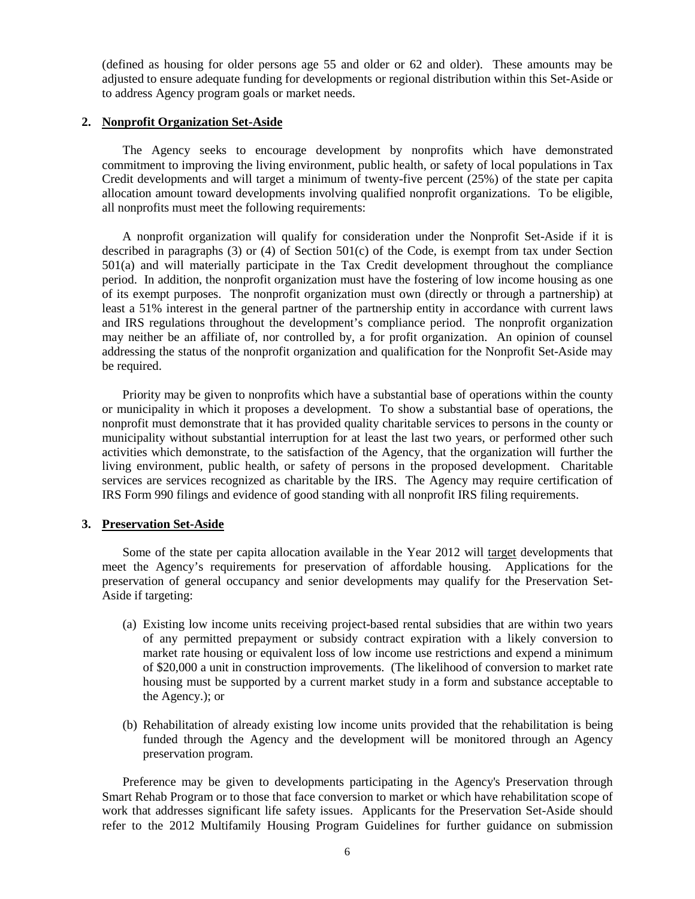(defined as housing for older persons age 55 and older or 62 and older). These amounts may be adjusted to ensure adequate funding for developments or regional distribution within this Set-Aside or to address Agency program goals or market needs.

### **2. Nonprofit Organization Set-Aside**

The Agency seeks to encourage development by nonprofits which have demonstrated commitment to improving the living environment, public health, or safety of local populations in Tax Credit developments and will target a minimum of twenty-five percent (25%) of the state per capita allocation amount toward developments involving qualified nonprofit organizations. To be eligible, all nonprofits must meet the following requirements:

A nonprofit organization will qualify for consideration under the Nonprofit Set-Aside if it is described in paragraphs (3) or (4) of Section 501(c) of the Code, is exempt from tax under Section 501(a) and will materially participate in the Tax Credit development throughout the compliance period. In addition, the nonprofit organization must have the fostering of low income housing as one of its exempt purposes. The nonprofit organization must own (directly or through a partnership) at least a 51% interest in the general partner of the partnership entity in accordance with current laws and IRS regulations throughout the development's compliance period. The nonprofit organization may neither be an affiliate of, nor controlled by, a for profit organization. An opinion of counsel addressing the status of the nonprofit organization and qualification for the Nonprofit Set-Aside may be required.

Priority may be given to nonprofits which have a substantial base of operations within the county or municipality in which it proposes a development. To show a substantial base of operations, the nonprofit must demonstrate that it has provided quality charitable services to persons in the county or municipality without substantial interruption for at least the last two years, or performed other such activities which demonstrate, to the satisfaction of the Agency, that the organization will further the living environment, public health, or safety of persons in the proposed development. Charitable services are services recognized as charitable by the IRS. The Agency may require certification of IRS Form 990 filings and evidence of good standing with all nonprofit IRS filing requirements.

### **3. Preservation Set-Aside**

Some of the state per capita allocation available in the Year 2012 will target developments that meet the Agency's requirements for preservation of affordable housing. Applications for the preservation of general occupancy and senior developments may qualify for the Preservation Set-Aside if targeting:

- (a) Existing low income units receiving project-based rental subsidies that are within two years of any permitted prepayment or subsidy contract expiration with a likely conversion to market rate housing or equivalent loss of low income use restrictions and expend a minimum of \$20,000 a unit in construction improvements. (The likelihood of conversion to market rate housing must be supported by a current market study in a form and substance acceptable to the Agency.); or
- (b) Rehabilitation of already existing low income units provided that the rehabilitation is being funded through the Agency and the development will be monitored through an Agency preservation program.

Preference may be given to developments participating in the Agency's Preservation through Smart Rehab Program or to those that face conversion to market or which have rehabilitation scope of work that addresses significant life safety issues. Applicants for the Preservation Set-Aside should refer to the 2012 Multifamily Housing Program Guidelines for further guidance on submission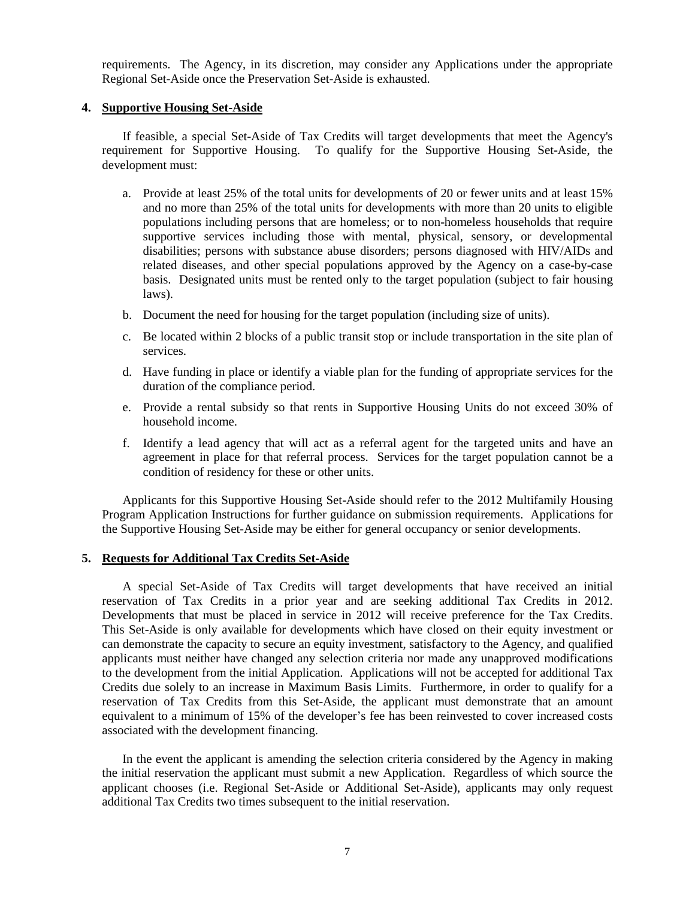requirements. The Agency, in its discretion, may consider any Applications under the appropriate Regional Set-Aside once the Preservation Set-Aside is exhausted.

### **4. Supportive Housing Set-Aside**

If feasible, a special Set-Aside of Tax Credits will target developments that meet the Agency's requirement for Supportive Housing. To qualify for the Supportive Housing Set-Aside, the development must:

- a. Provide at least 25% of the total units for developments of 20 or fewer units and at least 15% and no more than 25% of the total units for developments with more than 20 units to eligible populations including persons that are homeless; or to non-homeless households that require supportive services including those with mental, physical, sensory, or developmental disabilities; persons with substance abuse disorders; persons diagnosed with HIV/AIDs and related diseases, and other special populations approved by the Agency on a case-by-case basis. Designated units must be rented only to the target population (subject to fair housing laws).
- b. Document the need for housing for the target population (including size of units).
- c. Be located within 2 blocks of a public transit stop or include transportation in the site plan of services.
- d. Have funding in place or identify a viable plan for the funding of appropriate services for the duration of the compliance period.
- e. Provide a rental subsidy so that rents in Supportive Housing Units do not exceed 30% of household income.
- f. Identify a lead agency that will act as a referral agent for the targeted units and have an agreement in place for that referral process. Services for the target population cannot be a condition of residency for these or other units.

Applicants for this Supportive Housing Set-Aside should refer to the 2012 Multifamily Housing Program Application Instructions for further guidance on submission requirements. Applications for the Supportive Housing Set-Aside may be either for general occupancy or senior developments.

#### **5. Requests for Additional Tax Credits Set-Aside**

A special Set-Aside of Tax Credits will target developments that have received an initial reservation of Tax Credits in a prior year and are seeking additional Tax Credits in 2012. Developments that must be placed in service in 2012 will receive preference for the Tax Credits. This Set-Aside is only available for developments which have closed on their equity investment or can demonstrate the capacity to secure an equity investment, satisfactory to the Agency, and qualified applicants must neither have changed any selection criteria nor made any unapproved modifications to the development from the initial Application. Applications will not be accepted for additional Tax Credits due solely to an increase in Maximum Basis Limits. Furthermore, in order to qualify for a reservation of Tax Credits from this Set-Aside, the applicant must demonstrate that an amount equivalent to a minimum of 15% of the developer's fee has been reinvested to cover increased costs associated with the development financing.

In the event the applicant is amending the selection criteria considered by the Agency in making the initial reservation the applicant must submit a new Application. Regardless of which source the applicant chooses (i.e. Regional Set-Aside or Additional Set-Aside), applicants may only request additional Tax Credits two times subsequent to the initial reservation.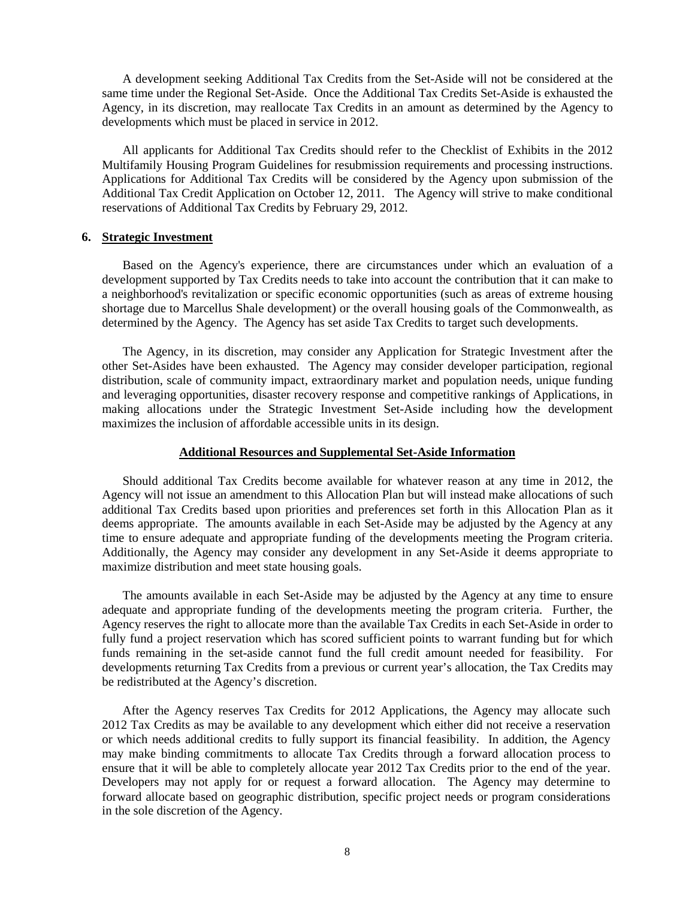A development seeking Additional Tax Credits from the Set-Aside will not be considered at the same time under the Regional Set-Aside. Once the Additional Tax Credits Set-Aside is exhausted the Agency, in its discretion, may reallocate Tax Credits in an amount as determined by the Agency to developments which must be placed in service in 2012.

All applicants for Additional Tax Credits should refer to the Checklist of Exhibits in the 2012 Multifamily Housing Program Guidelines for resubmission requirements and processing instructions. Applications for Additional Tax Credits will be considered by the Agency upon submission of the Additional Tax Credit Application on October 12, 2011. The Agency will strive to make conditional reservations of Additional Tax Credits by February 29, 2012.

#### **6. Strategic Investment**

Based on the Agency's experience, there are circumstances under which an evaluation of a development supported by Tax Credits needs to take into account the contribution that it can make to a neighborhood's revitalization or specific economic opportunities (such as areas of extreme housing shortage due to Marcellus Shale development) or the overall housing goals of the Commonwealth, as determined by the Agency. The Agency has set aside Tax Credits to target such developments.

The Agency, in its discretion, may consider any Application for Strategic Investment after the other Set-Asides have been exhausted. The Agency may consider developer participation, regional distribution, scale of community impact, extraordinary market and population needs, unique funding and leveraging opportunities, disaster recovery response and competitive rankings of Applications, in making allocations under the Strategic Investment Set-Aside including how the development maximizes the inclusion of affordable accessible units in its design.

#### **Additional Resources and Supplemental Set-Aside Information**

Should additional Tax Credits become available for whatever reason at any time in 2012, the Agency will not issue an amendment to this Allocation Plan but will instead make allocations of such additional Tax Credits based upon priorities and preferences set forth in this Allocation Plan as it deems appropriate. The amounts available in each Set-Aside may be adjusted by the Agency at any time to ensure adequate and appropriate funding of the developments meeting the Program criteria. Additionally, the Agency may consider any development in any Set-Aside it deems appropriate to maximize distribution and meet state housing goals.

The amounts available in each Set-Aside may be adjusted by the Agency at any time to ensure adequate and appropriate funding of the developments meeting the program criteria. Further, the Agency reserves the right to allocate more than the available Tax Credits in each Set-Aside in order to fully fund a project reservation which has scored sufficient points to warrant funding but for which funds remaining in the set-aside cannot fund the full credit amount needed for feasibility. For developments returning Tax Credits from a previous or current year's allocation, the Tax Credits may be redistributed at the Agency's discretion.

After the Agency reserves Tax Credits for 2012 Applications, the Agency may allocate such 2012 Tax Credits as may be available to any development which either did not receive a reservation or which needs additional credits to fully support its financial feasibility. In addition, the Agency may make binding commitments to allocate Tax Credits through a forward allocation process to ensure that it will be able to completely allocate year 2012 Tax Credits prior to the end of the year. Developers may not apply for or request a forward allocation. The Agency may determine to forward allocate based on geographic distribution, specific project needs or program considerations in the sole discretion of the Agency.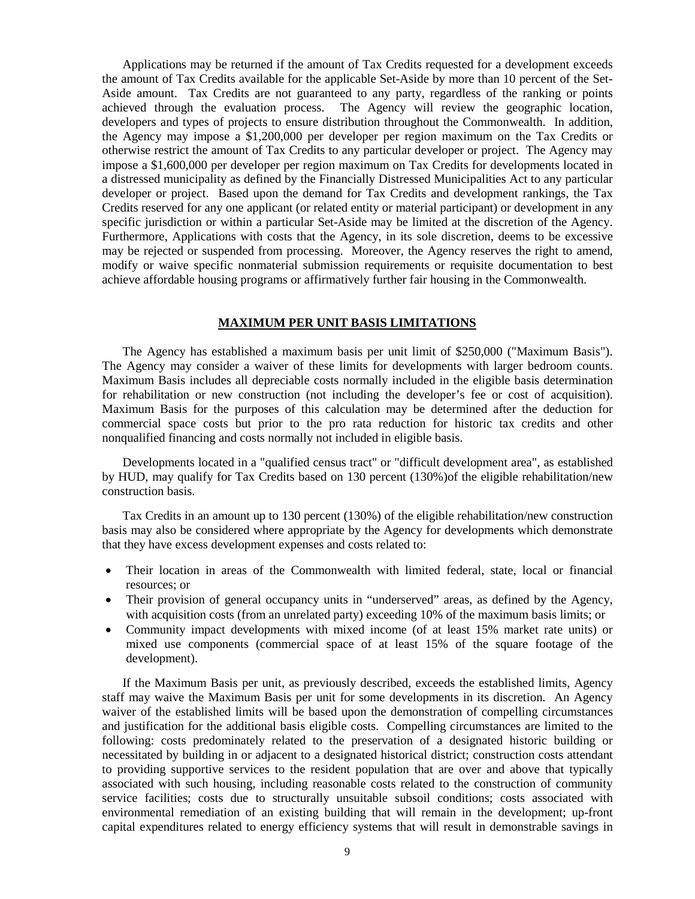Applications may be returned if the amount of Tax Credits requested for a development exceeds the amount of Tax Credits available for the applicable Set-Aside by more than 10 percent of the Set-Aside amount. Tax Credits are not guaranteed to any party, regardless of the ranking or points achieved through the evaluation process. The Agency will review the geographic location, developers and types of projects to ensure distribution throughout the Commonwealth. In addition, the Agency may impose a \$1,200,000 per developer per region maximum on the Tax Credits or otherwise restrict the amount of Tax Credits to any particular developer or project. The Agency may impose a \$1,600,000 per developer per region maximum on Tax Credits for developments located in a distressed municipality as defined by the Financially Distressed Municipalities Act to any particular developer or project. Based upon the demand for Tax Credits and development rankings, the Tax Credits reserved for any one applicant (or related entity or material participant) or development in any specific jurisdiction or within a particular Set-Aside may be limited at the discretion of the Agency. Furthermore, Applications with costs that the Agency, in its sole discretion, deems to be excessive may be rejected or suspended from processing. Moreover, the Agency reserves the right to amend, modify or waive specific nonmaterial submission requirements or requisite documentation to best achieve affordable housing programs or affirmatively further fair housing in the Commonwealth.

#### **MAXIMUM PER UNIT BASIS LIMITATIONS**

The Agency has established a maximum basis per unit limit of \$250,000 ("Maximum Basis"). The Agency may consider a waiver of these limits for developments with larger bedroom counts. Maximum Basis includes all depreciable costs normally included in the eligible basis determination for rehabilitation or new construction (not including the developer's fee or cost of acquisition). Maximum Basis for the purposes of this calculation may be determined after the deduction for commercial space costs but prior to the pro rata reduction for historic tax credits and other nonqualified financing and costs normally not included in eligible basis.

Developments located in a "qualified census tract" or "difficult development area", as established by HUD, may qualify for Tax Credits based on 130 percent (130%)of the eligible rehabilitation/new construction basis.

Tax Credits in an amount up to 130 percent (130%) of the eligible rehabilitation/new construction basis may also be considered where appropriate by the Agency for developments which demonstrate that they have excess development expenses and costs related to:

- Their location in areas of the Commonwealth with limited federal, state, local or financial resources; or
- Their provision of general occupancy units in "underserved" areas, as defined by the Agency, with acquisition costs (from an unrelated party) exceeding 10% of the maximum basis limits; or
- Community impact developments with mixed income (of at least 15% market rate units) or mixed use components (commercial space of at least 15% of the square footage of the development).

If the Maximum Basis per unit, as previously described, exceeds the established limits, Agency staff may waive the Maximum Basis per unit for some developments in its discretion. An Agency waiver of the established limits will be based upon the demonstration of compelling circumstances and justification for the additional basis eligible costs. Compelling circumstances are limited to the following: costs predominately related to the preservation of a designated historic building or necessitated by building in or adjacent to a designated historical district; construction costs attendant to providing supportive services to the resident population that are over and above that typically associated with such housing, including reasonable costs related to the construction of community service facilities; costs due to structurally unsuitable subsoil conditions; costs associated with environmental remediation of an existing building that will remain in the development; up-front capital expenditures related to energy efficiency systems that will result in demonstrable savings in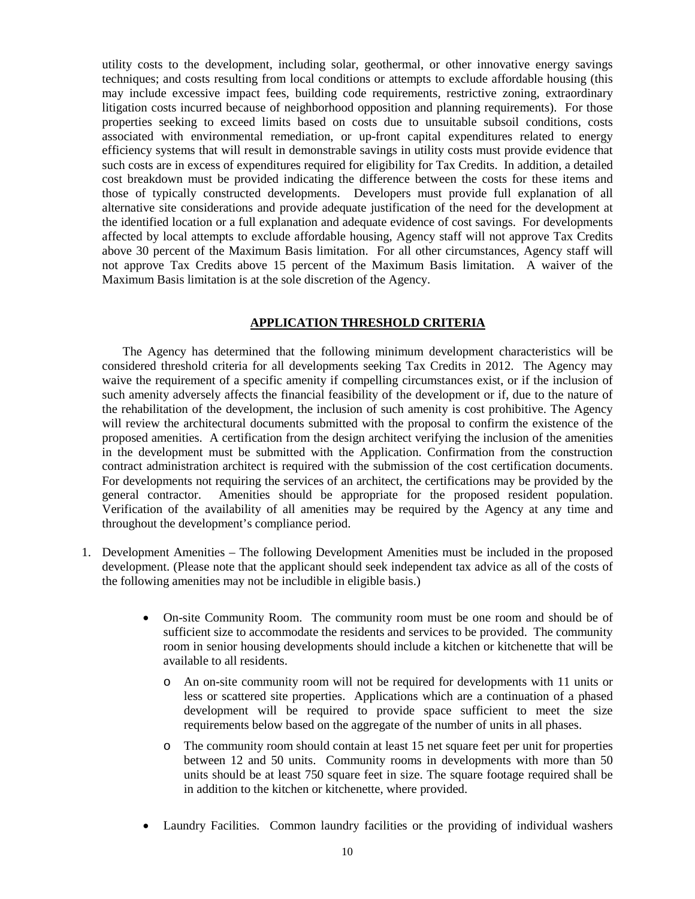utility costs to the development, including solar, geothermal, or other innovative energy savings techniques; and costs resulting from local conditions or attempts to exclude affordable housing (this may include excessive impact fees, building code requirements, restrictive zoning, extraordinary litigation costs incurred because of neighborhood opposition and planning requirements). For those properties seeking to exceed limits based on costs due to unsuitable subsoil conditions, costs associated with environmental remediation, or up-front capital expenditures related to energy efficiency systems that will result in demonstrable savings in utility costs must provide evidence that such costs are in excess of expenditures required for eligibility for Tax Credits. In addition, a detailed cost breakdown must be provided indicating the difference between the costs for these items and those of typically constructed developments. Developers must provide full explanation of all alternative site considerations and provide adequate justification of the need for the development at the identified location or a full explanation and adequate evidence of cost savings. For developments affected by local attempts to exclude affordable housing, Agency staff will not approve Tax Credits above 30 percent of the Maximum Basis limitation. For all other circumstances, Agency staff will not approve Tax Credits above 15 percent of the Maximum Basis limitation. A waiver of the Maximum Basis limitation is at the sole discretion of the Agency.

### **APPLICATION THRESHOLD CRITERIA**

The Agency has determined that the following minimum development characteristics will be considered threshold criteria for all developments seeking Tax Credits in 2012. The Agency may waive the requirement of a specific amenity if compelling circumstances exist, or if the inclusion of such amenity adversely affects the financial feasibility of the development or if, due to the nature of the rehabilitation of the development, the inclusion of such amenity is cost prohibitive. The Agency will review the architectural documents submitted with the proposal to confirm the existence of the proposed amenities. A certification from the design architect verifying the inclusion of the amenities in the development must be submitted with the Application. Confirmation from the construction contract administration architect is required with the submission of the cost certification documents. For developments not requiring the services of an architect, the certifications may be provided by the general contractor. Amenities should be appropriate for the proposed resident population. Amenities should be appropriate for the proposed resident population. Verification of the availability of all amenities may be required by the Agency at any time and throughout the development's compliance period.

- 1. Development Amenities The following Development Amenities must be included in the proposed development. (Please note that the applicant should seek independent tax advice as all of the costs of the following amenities may not be includible in eligible basis.)
	- On-site Community Room. The community room must be one room and should be of sufficient size to accommodate the residents and services to be provided. The community room in senior housing developments should include a kitchen or kitchenette that will be available to all residents.
		- o An on-site community room will not be required for developments with 11 units or less or scattered site properties. Applications which are a continuation of a phased development will be required to provide space sufficient to meet the size requirements below based on the aggregate of the number of units in all phases.
		- o The community room should contain at least 15 net square feet per unit for properties between 12 and 50 units. Community rooms in developments with more than 50 units should be at least 750 square feet in size. The square footage required shall be in addition to the kitchen or kitchenette, where provided.
	- Laundry Facilities. Common laundry facilities or the providing of individual washers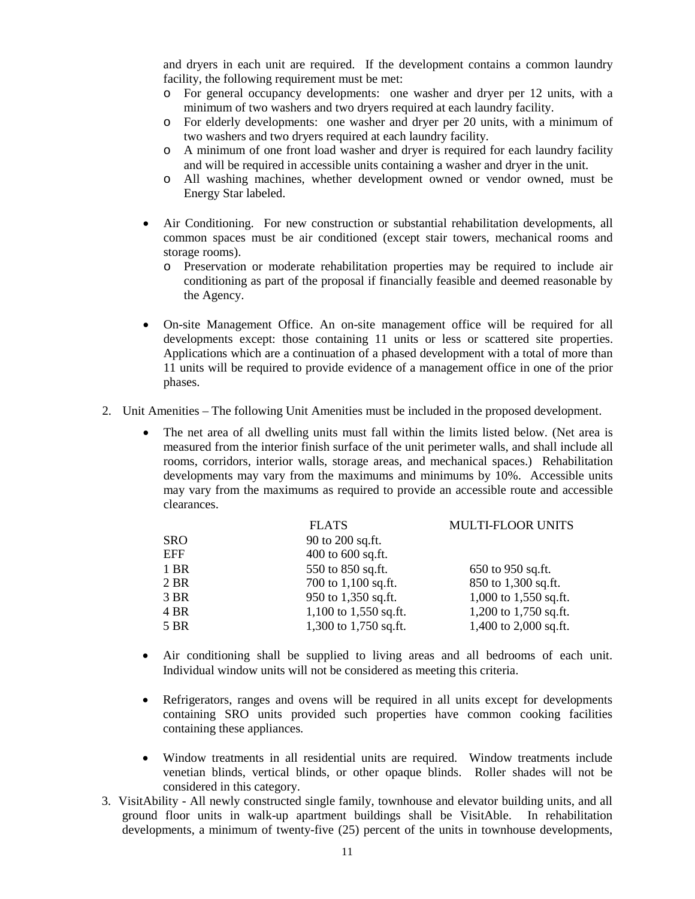and dryers in each unit are required. If the development contains a common laundry facility, the following requirement must be met:

- o For general occupancy developments: one washer and dryer per 12 units, with a minimum of two washers and two dryers required at each laundry facility.
- o For elderly developments: one washer and dryer per 20 units, with a minimum of two washers and two dryers required at each laundry facility.
- o A minimum of one front load washer and dryer is required for each laundry facility and will be required in accessible units containing a washer and dryer in the unit.
- o All washing machines, whether development owned or vendor owned, must be Energy Star labeled.
- Air Conditioning. For new construction or substantial rehabilitation developments, all common spaces must be air conditioned (except stair towers, mechanical rooms and storage rooms).
	- o Preservation or moderate rehabilitation properties may be required to include air conditioning as part of the proposal if financially feasible and deemed reasonable by the Agency.
- On-site Management Office. An on-site management office will be required for all developments except: those containing 11 units or less or scattered site properties. Applications which are a continuation of a phased development with a total of more than 11 units will be required to provide evidence of a management office in one of the prior phases.
- 2. Unit Amenities The following Unit Amenities must be included in the proposed development.
	- The net area of all dwelling units must fall within the limits listed below. (Net area is measured from the interior finish surface of the unit perimeter walls, and shall include all rooms, corridors, interior walls, storage areas, and mechanical spaces.) Rehabilitation developments may vary from the maximums and minimums by 10%. Accessible units may vary from the maximums as required to provide an accessible route and accessible clearances.

|            | <b>FLATS</b>            | <b>MULTI-FLOOR UNITS</b> |
|------------|-------------------------|--------------------------|
| <b>SRO</b> | 90 to 200 sq.ft.        |                          |
| EFF        | 400 to $600$ sq.ft.     |                          |
| 1 BR       | 550 to 850 sq.ft.       | 650 to 950 sq.ft.        |
| 2 BR       | 700 to 1,100 sq.ft.     | 850 to 1,300 sq.ft.      |
| 3 BR       | 950 to 1,350 sq.ft.     | 1,000 to $1,550$ sq.ft.  |
| 4 BR       | 1,100 to $1,550$ sq.ft. | 1,200 to 1,750 sq.ft.    |
| 5 BR       | 1,300 to 1,750 sq.ft.   | 1,400 to 2,000 sq.ft.    |

- Air conditioning shall be supplied to living areas and all bedrooms of each unit. Individual window units will not be considered as meeting this criteria.
- Refrigerators, ranges and ovens will be required in all units except for developments containing SRO units provided such properties have common cooking facilities containing these appliances.
- Window treatments in all residential units are required. Window treatments include venetian blinds, vertical blinds, or other opaque blinds. Roller shades will not be considered in this category.
- 3. VisitAbility All newly constructed single family, townhouse and elevator building units, and all ground floor units in walk-up apartment buildings shall be VisitAble. In rehabilitation developments, a minimum of twenty-five (25) percent of the units in townhouse developments,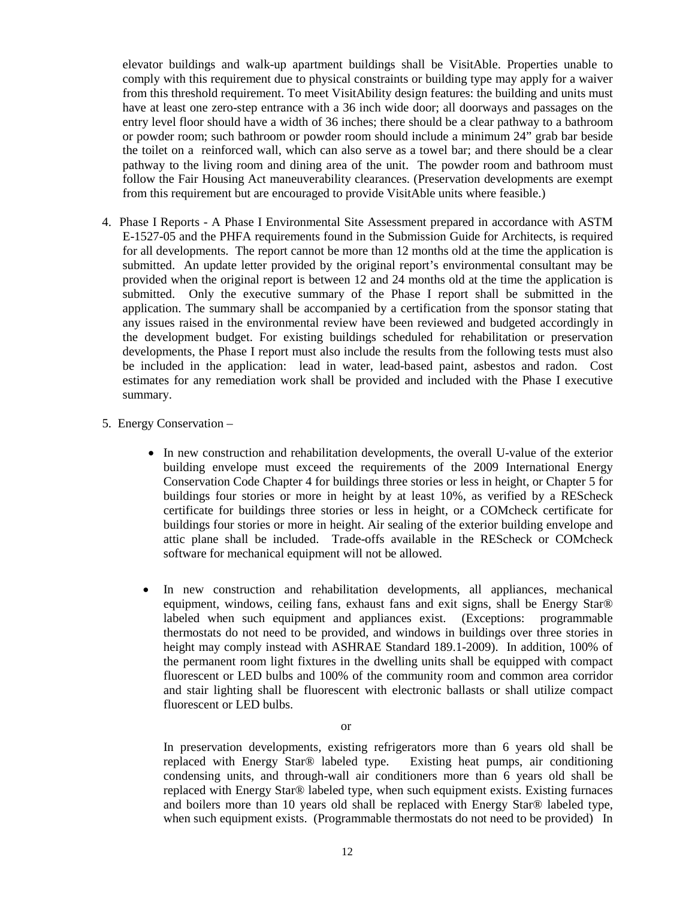elevator buildings and walk-up apartment buildings shall be VisitAble. Properties unable to comply with this requirement due to physical constraints or building type may apply for a waiver from this threshold requirement. To meet VisitAbility design features: the building and units must have at least one zero-step entrance with a 36 inch wide door; all doorways and passages on the entry level floor should have a width of 36 inches; there should be a clear pathway to a bathroom or powder room; such bathroom or powder room should include a minimum 24" grab bar beside the toilet on a reinforced wall, which can also serve as a towel bar; and there should be a clear pathway to the living room and dining area of the unit. The powder room and bathroom must follow the Fair Housing Act maneuverability clearances. (Preservation developments are exempt from this requirement but are encouraged to provide VisitAble units where feasible.)

- 4. Phase I Reports A Phase I Environmental Site Assessment prepared in accordance with ASTM E-1527-05 and the PHFA requirements found in the Submission Guide for Architects, is required for all developments. The report cannot be more than 12 months old at the time the application is submitted. An update letter provided by the original report's environmental consultant may be provided when the original report is between 12 and 24 months old at the time the application is submitted. Only the executive summary of the Phase I report shall be submitted in the application. The summary shall be accompanied by a certification from the sponsor stating that any issues raised in the environmental review have been reviewed and budgeted accordingly in the development budget. For existing buildings scheduled for rehabilitation or preservation developments, the Phase I report must also include the results from the following tests must also be included in the application: lead in water, lead-based paint, asbestos and radon. Cost estimates for any remediation work shall be provided and included with the Phase I executive summary.
- 5. Energy Conservation
	- In new construction and rehabilitation developments, the overall U-value of the exterior building envelope must exceed the requirements of the 2009 International Energy Conservation Code Chapter 4 for buildings three stories or less in height, or Chapter 5 for buildings four stories or more in height by at least 10%, as verified by a REScheck certificate for buildings three stories or less in height, or a COMcheck certificate for buildings four stories or more in height. Air sealing of the exterior building envelope and attic plane shall be included. Trade-offs available in the REScheck or COMcheck software for mechanical equipment will not be allowed.
	- In new construction and rehabilitation developments, all appliances, mechanical equipment, windows, ceiling fans, exhaust fans and exit signs, shall be Energy Star® labeled when such equipment and appliances exist. (Exceptions: programmable thermostats do not need to be provided, and windows in buildings over three stories in height may comply instead with ASHRAE Standard 189.1-2009). In addition, 100% of the permanent room light fixtures in the dwelling units shall be equipped with compact fluorescent or LED bulbs and 100% of the community room and common area corridor and stair lighting shall be fluorescent with electronic ballasts or shall utilize compact fluorescent or LED bulbs.

In preservation developments, existing refrigerators more than 6 years old shall be replaced with Energy Star® labeled type. Existing heat pumps, air conditioning condensing units, and through-wall air conditioners more than 6 years old shall be replaced with Energy Star® labeled type, when such equipment exists. Existing furnaces and boilers more than 10 years old shall be replaced with Energy Star® labeled type, when such equipment exists. (Programmable thermostats do not need to be provided) In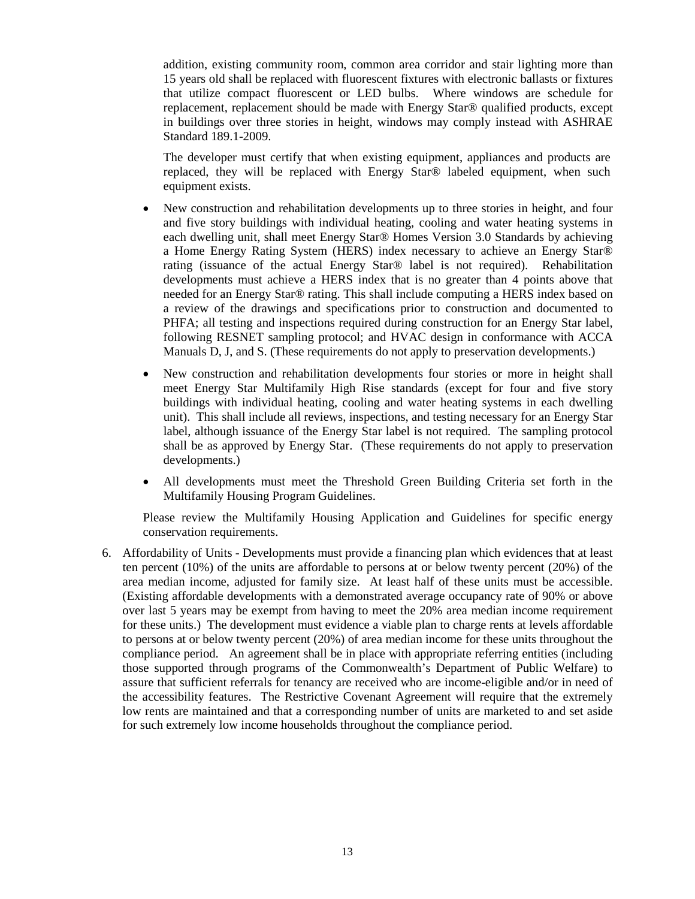addition, existing community room, common area corridor and stair lighting more than 15 years old shall be replaced with fluorescent fixtures with electronic ballasts or fixtures that utilize compact fluorescent or LED bulbs. Where windows are schedule for replacement, replacement should be made with Energy Star® qualified products, except in buildings over three stories in height, windows may comply instead with ASHRAE Standard 189.1-2009.

The developer must certify that when existing equipment, appliances and products are replaced, they will be replaced with Energy Star® labeled equipment, when such equipment exists.

- New construction and rehabilitation developments up to three stories in height, and four and five story buildings with individual heating, cooling and water heating systems in each dwelling unit, shall meet Energy Star® Homes Version 3.0 Standards by achieving a Home Energy Rating System (HERS) index necessary to achieve an Energy Star® rating (issuance of the actual Energy Star® label is not required). Rehabilitation developments must achieve a HERS index that is no greater than 4 points above that needed for an Energy Star® rating. This shall include computing a HERS index based on a review of the drawings and specifications prior to construction and documented to PHFA; all testing and inspections required during construction for an Energy Star label, following RESNET sampling protocol; and HVAC design in conformance with ACCA Manuals D, J, and S. (These requirements do not apply to preservation developments.)
- New construction and rehabilitation developments four stories or more in height shall meet Energy Star Multifamily High Rise standards (except for four and five story buildings with individual heating, cooling and water heating systems in each dwelling unit). This shall include all reviews, inspections, and testing necessary for an Energy Star label, although issuance of the Energy Star label is not required. The sampling protocol shall be as approved by Energy Star. (These requirements do not apply to preservation developments.)
- All developments must meet the Threshold Green Building Criteria set forth in the Multifamily Housing Program Guidelines.

Please review the Multifamily Housing Application and Guidelines for specific energy conservation requirements.

6. Affordability of Units - Developments must provide a financing plan which evidences that at least ten percent (10%) of the units are affordable to persons at or below twenty percent (20%) of the area median income, adjusted for family size. At least half of these units must be accessible. (Existing affordable developments with a demonstrated average occupancy rate of 90% or above over last 5 years may be exempt from having to meet the 20% area median income requirement for these units.) The development must evidence a viable plan to charge rents at levels affordable to persons at or below twenty percent (20%) of area median income for these units throughout the compliance period. An agreement shall be in place with appropriate referring entities (including those supported through programs of the Commonwealth's Department of Public Welfare) to assure that sufficient referrals for tenancy are received who are income-eligible and/or in need of the accessibility features. The Restrictive Covenant Agreement will require that the extremely low rents are maintained and that a corresponding number of units are marketed to and set aside for such extremely low income households throughout the compliance period.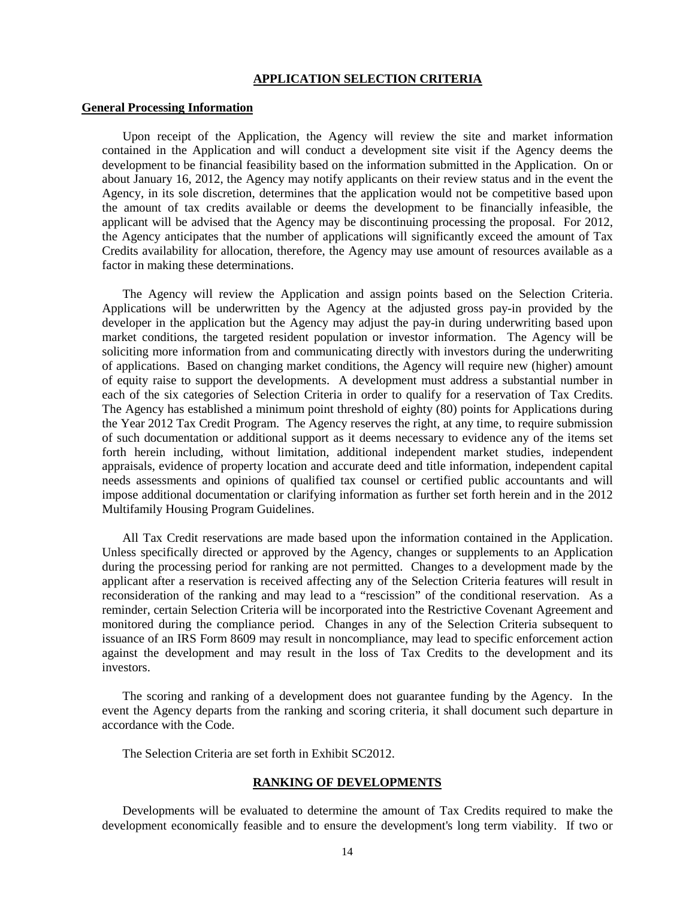#### **APPLICATION SELECTION CRITERIA**

#### **General Processing Information**

Upon receipt of the Application, the Agency will review the site and market information contained in the Application and will conduct a development site visit if the Agency deems the development to be financial feasibility based on the information submitted in the Application. On or about January 16, 2012, the Agency may notify applicants on their review status and in the event the Agency, in its sole discretion, determines that the application would not be competitive based upon the amount of tax credits available or deems the development to be financially infeasible, the applicant will be advised that the Agency may be discontinuing processing the proposal. For 2012, the Agency anticipates that the number of applications will significantly exceed the amount of Tax Credits availability for allocation, therefore, the Agency may use amount of resources available as a factor in making these determinations.

The Agency will review the Application and assign points based on the Selection Criteria. Applications will be underwritten by the Agency at the adjusted gross pay-in provided by the developer in the application but the Agency may adjust the pay-in during underwriting based upon market conditions, the targeted resident population or investor information. The Agency will be soliciting more information from and communicating directly with investors during the underwriting of applications. Based on changing market conditions, the Agency will require new (higher) amount of equity raise to support the developments. A development must address a substantial number in each of the six categories of Selection Criteria in order to qualify for a reservation of Tax Credits. The Agency has established a minimum point threshold of eighty (80) points for Applications during the Year 2012 Tax Credit Program. The Agency reserves the right, at any time, to require submission of such documentation or additional support as it deems necessary to evidence any of the items set forth herein including, without limitation, additional independent market studies, independent appraisals, evidence of property location and accurate deed and title information, independent capital needs assessments and opinions of qualified tax counsel or certified public accountants and will impose additional documentation or clarifying information as further set forth herein and in the 2012 Multifamily Housing Program Guidelines.

All Tax Credit reservations are made based upon the information contained in the Application. Unless specifically directed or approved by the Agency, changes or supplements to an Application during the processing period for ranking are not permitted. Changes to a development made by the applicant after a reservation is received affecting any of the Selection Criteria features will result in reconsideration of the ranking and may lead to a "rescission" of the conditional reservation. As a reminder, certain Selection Criteria will be incorporated into the Restrictive Covenant Agreement and monitored during the compliance period. Changes in any of the Selection Criteria subsequent to issuance of an IRS Form 8609 may result in noncompliance, may lead to specific enforcement action against the development and may result in the loss of Tax Credits to the development and its investors.

The scoring and ranking of a development does not guarantee funding by the Agency. In the event the Agency departs from the ranking and scoring criteria, it shall document such departure in accordance with the Code.

The Selection Criteria are set forth in Exhibit SC2012.

#### **RANKING OF DEVELOPMENTS**

Developments will be evaluated to determine the amount of Tax Credits required to make the development economically feasible and to ensure the development's long term viability. If two or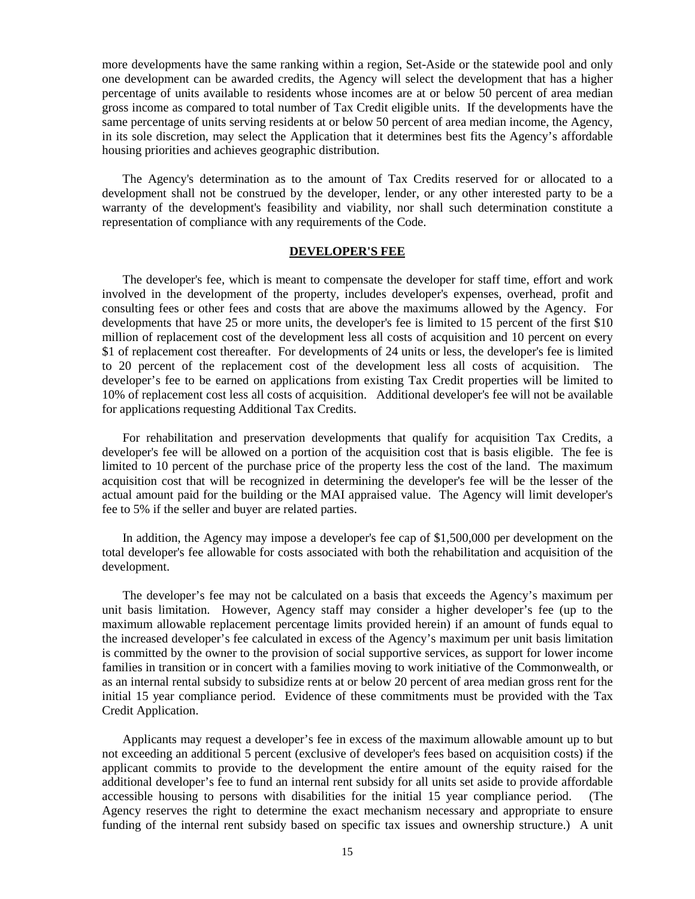more developments have the same ranking within a region, Set-Aside or the statewide pool and only one development can be awarded credits, the Agency will select the development that has a higher percentage of units available to residents whose incomes are at or below 50 percent of area median gross income as compared to total number of Tax Credit eligible units. If the developments have the same percentage of units serving residents at or below 50 percent of area median income, the Agency, in its sole discretion, may select the Application that it determines best fits the Agency's affordable housing priorities and achieves geographic distribution.

The Agency's determination as to the amount of Tax Credits reserved for or allocated to a development shall not be construed by the developer, lender, or any other interested party to be a warranty of the development's feasibility and viability, nor shall such determination constitute a representation of compliance with any requirements of the Code.

#### **DEVELOPER'S FEE**

The developer's fee, which is meant to compensate the developer for staff time, effort and work involved in the development of the property, includes developer's expenses, overhead, profit and consulting fees or other fees and costs that are above the maximums allowed by the Agency. For developments that have 25 or more units, the developer's fee is limited to 15 percent of the first \$10 million of replacement cost of the development less all costs of acquisition and 10 percent on every \$1 of replacement cost thereafter. For developments of 24 units or less, the developer's fee is limited to 20 percent of the replacement cost of the development less all costs of acquisition. The developer's fee to be earned on applications from existing Tax Credit properties will be limited to 10% of replacement cost less all costs of acquisition. Additional developer's fee will not be available for applications requesting Additional Tax Credits.

For rehabilitation and preservation developments that qualify for acquisition Tax Credits, a developer's fee will be allowed on a portion of the acquisition cost that is basis eligible. The fee is limited to 10 percent of the purchase price of the property less the cost of the land. The maximum acquisition cost that will be recognized in determining the developer's fee will be the lesser of the actual amount paid for the building or the MAI appraised value. The Agency will limit developer's fee to 5% if the seller and buyer are related parties.

In addition, the Agency may impose a developer's fee cap of \$1,500,000 per development on the total developer's fee allowable for costs associated with both the rehabilitation and acquisition of the development.

The developer's fee may not be calculated on a basis that exceeds the Agency's maximum per unit basis limitation. However, Agency staff may consider a higher developer's fee (up to the maximum allowable replacement percentage limits provided herein) if an amount of funds equal to the increased developer's fee calculated in excess of the Agency's maximum per unit basis limitation is committed by the owner to the provision of social supportive services, as support for lower income families in transition or in concert with a families moving to work initiative of the Commonwealth, or as an internal rental subsidy to subsidize rents at or below 20 percent of area median gross rent for the initial 15 year compliance period. Evidence of these commitments must be provided with the Tax Credit Application.

Applicants may request a developer's fee in excess of the maximum allowable amount up to but not exceeding an additional 5 percent (exclusive of developer's fees based on acquisition costs) if the applicant commits to provide to the development the entire amount of the equity raised for the additional developer's fee to fund an internal rent subsidy for all units set aside to provide affordable accessible housing to persons with disabilities for the initial 15 year compliance period. (The Agency reserves the right to determine the exact mechanism necessary and appropriate to ensure funding of the internal rent subsidy based on specific tax issues and ownership structure.) A unit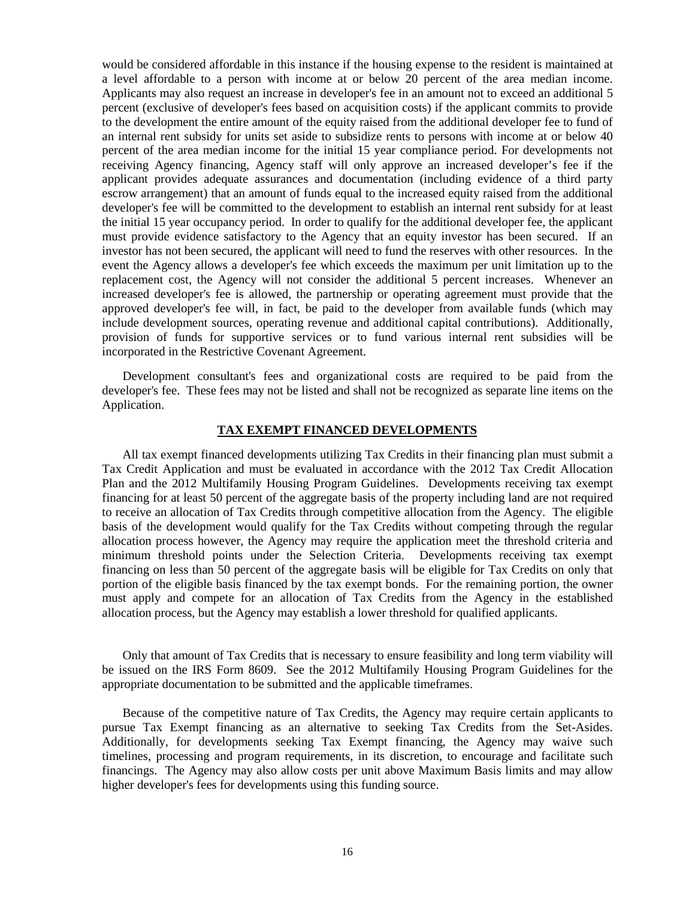would be considered affordable in this instance if the housing expense to the resident is maintained at a level affordable to a person with income at or below 20 percent of the area median income. Applicants may also request an increase in developer's fee in an amount not to exceed an additional 5 percent (exclusive of developer's fees based on acquisition costs) if the applicant commits to provide to the development the entire amount of the equity raised from the additional developer fee to fund of an internal rent subsidy for units set aside to subsidize rents to persons with income at or below 40 percent of the area median income for the initial 15 year compliance period. For developments not receiving Agency financing, Agency staff will only approve an increased developer's fee if the applicant provides adequate assurances and documentation (including evidence of a third party escrow arrangement) that an amount of funds equal to the increased equity raised from the additional developer's fee will be committed to the development to establish an internal rent subsidy for at least the initial 15 year occupancy period. In order to qualify for the additional developer fee, the applicant must provide evidence satisfactory to the Agency that an equity investor has been secured. If an investor has not been secured, the applicant will need to fund the reserves with other resources. In the event the Agency allows a developer's fee which exceeds the maximum per unit limitation up to the replacement cost, the Agency will not consider the additional 5 percent increases. Whenever an increased developer's fee is allowed, the partnership or operating agreement must provide that the approved developer's fee will, in fact, be paid to the developer from available funds (which may include development sources, operating revenue and additional capital contributions). Additionally, provision of funds for supportive services or to fund various internal rent subsidies will be incorporated in the Restrictive Covenant Agreement.

Development consultant's fees and organizational costs are required to be paid from the developer's fee. These fees may not be listed and shall not be recognized as separate line items on the Application.

#### **TAX EXEMPT FINANCED DEVELOPMENTS**

All tax exempt financed developments utilizing Tax Credits in their financing plan must submit a Tax Credit Application and must be evaluated in accordance with the 2012 Tax Credit Allocation Plan and the 2012 Multifamily Housing Program Guidelines. Developments receiving tax exempt financing for at least 50 percent of the aggregate basis of the property including land are not required to receive an allocation of Tax Credits through competitive allocation from the Agency. The eligible basis of the development would qualify for the Tax Credits without competing through the regular allocation process however, the Agency may require the application meet the threshold criteria and minimum threshold points under the Selection Criteria. Developments receiving tax exempt financing on less than 50 percent of the aggregate basis will be eligible for Tax Credits on only that portion of the eligible basis financed by the tax exempt bonds. For the remaining portion, the owner must apply and compete for an allocation of Tax Credits from the Agency in the established allocation process, but the Agency may establish a lower threshold for qualified applicants.

Only that amount of Tax Credits that is necessary to ensure feasibility and long term viability will be issued on the IRS Form 8609. See the 2012 Multifamily Housing Program Guidelines for the appropriate documentation to be submitted and the applicable timeframes.

Because of the competitive nature of Tax Credits, the Agency may require certain applicants to pursue Tax Exempt financing as an alternative to seeking Tax Credits from the Set-Asides. Additionally, for developments seeking Tax Exempt financing, the Agency may waive such timelines, processing and program requirements, in its discretion, to encourage and facilitate such financings. The Agency may also allow costs per unit above Maximum Basis limits and may allow higher developer's fees for developments using this funding source.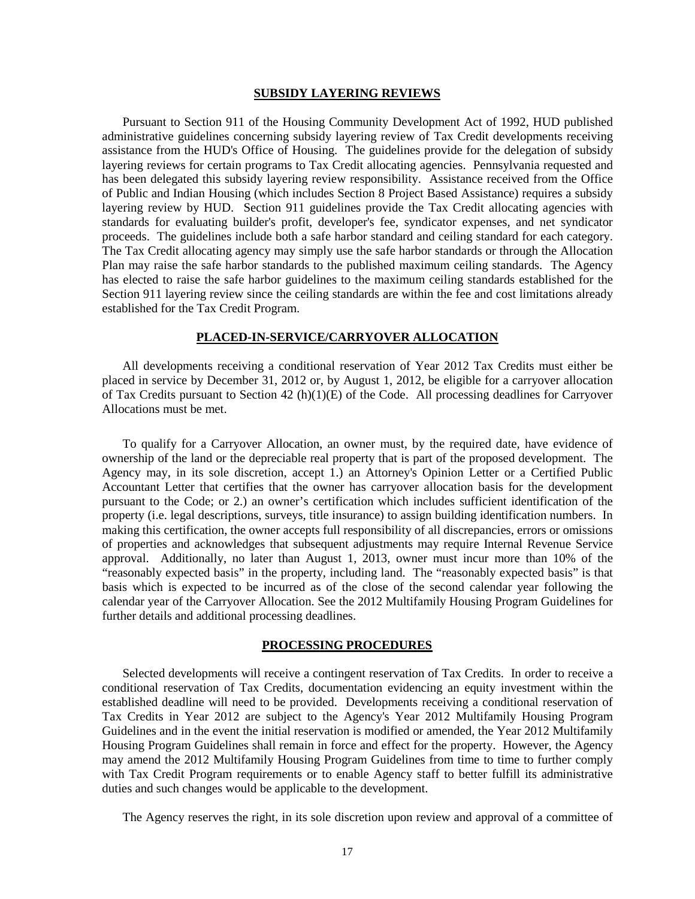### **SUBSIDY LAYERING REVIEWS**

Pursuant to Section 911 of the Housing Community Development Act of 1992, HUD published administrative guidelines concerning subsidy layering review of Tax Credit developments receiving assistance from the HUD's Office of Housing. The guidelines provide for the delegation of subsidy layering reviews for certain programs to Tax Credit allocating agencies. Pennsylvania requested and has been delegated this subsidy layering review responsibility. Assistance received from the Office of Public and Indian Housing (which includes Section 8 Project Based Assistance) requires a subsidy layering review by HUD. Section 911 guidelines provide the Tax Credit allocating agencies with standards for evaluating builder's profit, developer's fee, syndicator expenses, and net syndicator proceeds. The guidelines include both a safe harbor standard and ceiling standard for each category. The Tax Credit allocating agency may simply use the safe harbor standards or through the Allocation Plan may raise the safe harbor standards to the published maximum ceiling standards. The Agency has elected to raise the safe harbor guidelines to the maximum ceiling standards established for the Section 911 layering review since the ceiling standards are within the fee and cost limitations already established for the Tax Credit Program.

### **PLACED-IN-SERVICE/CARRYOVER ALLOCATION**

All developments receiving a conditional reservation of Year 2012 Tax Credits must either be placed in service by December 31, 2012 or, by August 1, 2012, be eligible for a carryover allocation of Tax Credits pursuant to Section 42 (h)(1)(E) of the Code. All processing deadlines for Carryover Allocations must be met.

To qualify for a Carryover Allocation, an owner must, by the required date, have evidence of ownership of the land or the depreciable real property that is part of the proposed development. The Agency may, in its sole discretion, accept 1.) an Attorney's Opinion Letter or a Certified Public Accountant Letter that certifies that the owner has carryover allocation basis for the development pursuant to the Code; or 2.) an owner's certification which includes sufficient identification of the property (i.e. legal descriptions, surveys, title insurance) to assign building identification numbers. In making this certification, the owner accepts full responsibility of all discrepancies, errors or omissions of properties and acknowledges that subsequent adjustments may require Internal Revenue Service approval. Additionally, no later than August 1, 2013, owner must incur more than 10% of the "reasonably expected basis" in the property, including land. The "reasonably expected basis" is that basis which is expected to be incurred as of the close of the second calendar year following the calendar year of the Carryover Allocation. See the 2012 Multifamily Housing Program Guidelines for further details and additional processing deadlines.

#### **PROCESSING PROCEDURES**

Selected developments will receive a contingent reservation of Tax Credits. In order to receive a conditional reservation of Tax Credits, documentation evidencing an equity investment within the established deadline will need to be provided. Developments receiving a conditional reservation of Tax Credits in Year 2012 are subject to the Agency's Year 2012 Multifamily Housing Program Guidelines and in the event the initial reservation is modified or amended, the Year 2012 Multifamily Housing Program Guidelines shall remain in force and effect for the property. However, the Agency may amend the 2012 Multifamily Housing Program Guidelines from time to time to further comply with Tax Credit Program requirements or to enable Agency staff to better fulfill its administrative duties and such changes would be applicable to the development.

The Agency reserves the right, in its sole discretion upon review and approval of a committee of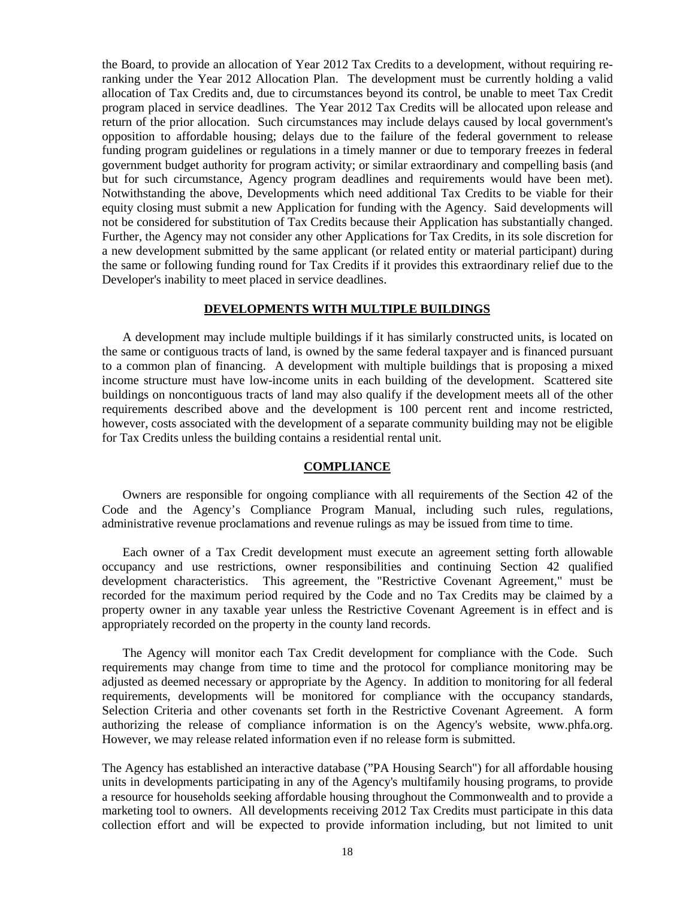the Board, to provide an allocation of Year 2012 Tax Credits to a development, without requiring reranking under the Year 2012 Allocation Plan. The development must be currently holding a valid allocation of Tax Credits and, due to circumstances beyond its control, be unable to meet Tax Credit program placed in service deadlines. The Year 2012 Tax Credits will be allocated upon release and return of the prior allocation. Such circumstances may include delays caused by local government's opposition to affordable housing; delays due to the failure of the federal government to release funding program guidelines or regulations in a timely manner or due to temporary freezes in federal government budget authority for program activity; or similar extraordinary and compelling basis (and but for such circumstance, Agency program deadlines and requirements would have been met). Notwithstanding the above, Developments which need additional Tax Credits to be viable for their equity closing must submit a new Application for funding with the Agency. Said developments will not be considered for substitution of Tax Credits because their Application has substantially changed. Further, the Agency may not consider any other Applications for Tax Credits, in its sole discretion for a new development submitted by the same applicant (or related entity or material participant) during the same or following funding round for Tax Credits if it provides this extraordinary relief due to the Developer's inability to meet placed in service deadlines.

#### **DEVELOPMENTS WITH MULTIPLE BUILDINGS**

A development may include multiple buildings if it has similarly constructed units, is located on the same or contiguous tracts of land, is owned by the same federal taxpayer and is financed pursuant to a common plan of financing. A development with multiple buildings that is proposing a mixed income structure must have low-income units in each building of the development. Scattered site buildings on noncontiguous tracts of land may also qualify if the development meets all of the other requirements described above and the development is 100 percent rent and income restricted, however, costs associated with the development of a separate community building may not be eligible for Tax Credits unless the building contains a residential rental unit.

#### **COMPLIANCE**

Owners are responsible for ongoing compliance with all requirements of the Section 42 of the Code and the Agency's Compliance Program Manual, including such rules, regulations, administrative revenue proclamations and revenue rulings as may be issued from time to time.

Each owner of a Tax Credit development must execute an agreement setting forth allowable occupancy and use restrictions, owner responsibilities and continuing Section 42 qualified development characteristics. This agreement, the "Restrictive Covenant Agreement," must be recorded for the maximum period required by the Code and no Tax Credits may be claimed by a property owner in any taxable year unless the Restrictive Covenant Agreement is in effect and is appropriately recorded on the property in the county land records.

The Agency will monitor each Tax Credit development for compliance with the Code. Such requirements may change from time to time and the protocol for compliance monitoring may be adjusted as deemed necessary or appropriate by the Agency. In addition to monitoring for all federal requirements, developments will be monitored for compliance with the occupancy standards, Selection Criteria and other covenants set forth in the Restrictive Covenant Agreement. A form authorizing the release of compliance information is on the Agency's website, www.phfa.org. However, we may release related information even if no release form is submitted.

The Agency has established an interactive database ("PA Housing Search") for all affordable housing units in developments participating in any of the Agency's multifamily housing programs, to provide a resource for households seeking affordable housing throughout the Commonwealth and to provide a marketing tool to owners. All developments receiving 2012 Tax Credits must participate in this data collection effort and will be expected to provide information including, but not limited to unit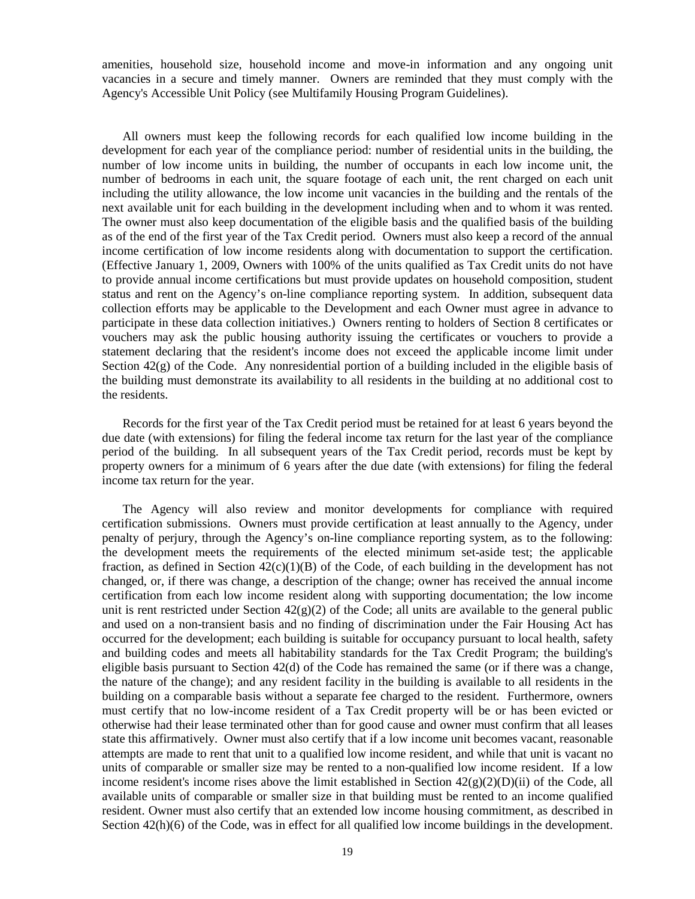amenities, household size, household income and move-in information and any ongoing unit vacancies in a secure and timely manner. Owners are reminded that they must comply with the Agency's Accessible Unit Policy (see Multifamily Housing Program Guidelines).

All owners must keep the following records for each qualified low income building in the development for each year of the compliance period: number of residential units in the building, the number of low income units in building, the number of occupants in each low income unit, the number of bedrooms in each unit, the square footage of each unit, the rent charged on each unit including the utility allowance, the low income unit vacancies in the building and the rentals of the next available unit for each building in the development including when and to whom it was rented. The owner must also keep documentation of the eligible basis and the qualified basis of the building as of the end of the first year of the Tax Credit period. Owners must also keep a record of the annual income certification of low income residents along with documentation to support the certification. (Effective January 1, 2009, Owners with 100% of the units qualified as Tax Credit units do not have to provide annual income certifications but must provide updates on household composition, student status and rent on the Agency's on-line compliance reporting system. In addition, subsequent data collection efforts may be applicable to the Development and each Owner must agree in advance to participate in these data collection initiatives.) Owners renting to holders of Section 8 certificates or vouchers may ask the public housing authority issuing the certificates or vouchers to provide a statement declaring that the resident's income does not exceed the applicable income limit under Section 42(g) of the Code. Any nonresidential portion of a building included in the eligible basis of the building must demonstrate its availability to all residents in the building at no additional cost to the residents.

Records for the first year of the Tax Credit period must be retained for at least 6 years beyond the due date (with extensions) for filing the federal income tax return for the last year of the compliance period of the building. In all subsequent years of the Tax Credit period, records must be kept by property owners for a minimum of 6 years after the due date (with extensions) for filing the federal income tax return for the year.

The Agency will also review and monitor developments for compliance with required certification submissions. Owners must provide certification at least annually to the Agency, under penalty of perjury, through the Agency's on-line compliance reporting system, as to the following: the development meets the requirements of the elected minimum set-aside test; the applicable fraction, as defined in Section  $42(c)(1)(B)$  of the Code, of each building in the development has not changed, or, if there was change, a description of the change; owner has received the annual income certification from each low income resident along with supporting documentation; the low income unit is rent restricted under Section  $42(g)(2)$  of the Code; all units are available to the general public and used on a non-transient basis and no finding of discrimination under the Fair Housing Act has occurred for the development; each building is suitable for occupancy pursuant to local health, safety and building codes and meets all habitability standards for the Tax Credit Program; the building's eligible basis pursuant to Section 42(d) of the Code has remained the same (or if there was a change, the nature of the change); and any resident facility in the building is available to all residents in the building on a comparable basis without a separate fee charged to the resident. Furthermore, owners must certify that no low-income resident of a Tax Credit property will be or has been evicted or otherwise had their lease terminated other than for good cause and owner must confirm that all leases state this affirmatively. Owner must also certify that if a low income unit becomes vacant, reasonable attempts are made to rent that unit to a qualified low income resident, and while that unit is vacant no units of comparable or smaller size may be rented to a non-qualified low income resident. If a low income resident's income rises above the limit established in Section  $42(g)(2)(D)(ii)$  of the Code, all available units of comparable or smaller size in that building must be rented to an income qualified resident. Owner must also certify that an extended low income housing commitment, as described in Section  $42(h)(6)$  of the Code, was in effect for all qualified low income buildings in the development.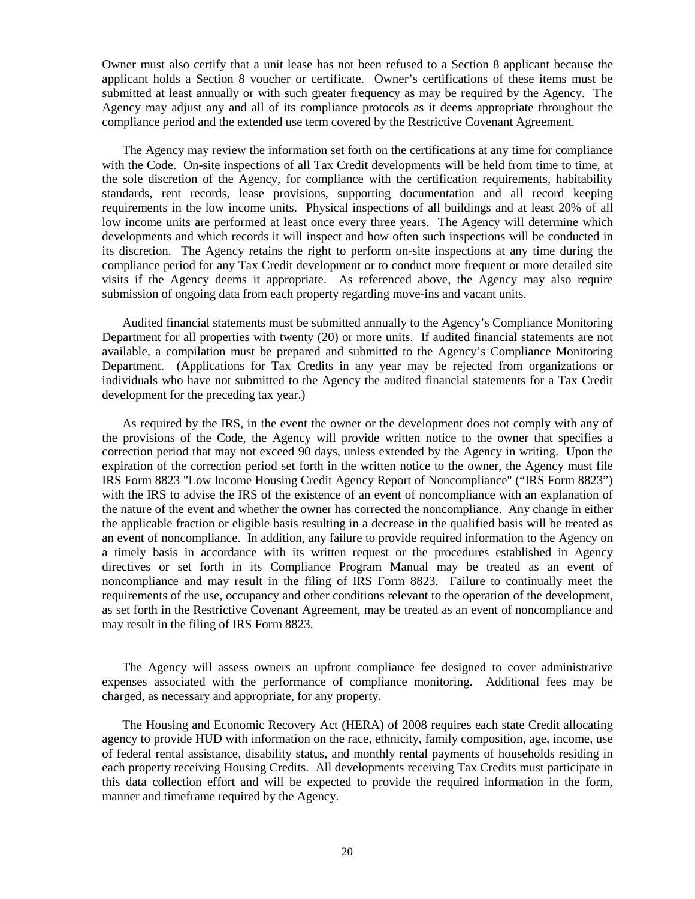Owner must also certify that a unit lease has not been refused to a Section 8 applicant because the applicant holds a Section 8 voucher or certificate. Owner's certifications of these items must be submitted at least annually or with such greater frequency as may be required by the Agency. The Agency may adjust any and all of its compliance protocols as it deems appropriate throughout the compliance period and the extended use term covered by the Restrictive Covenant Agreement.

The Agency may review the information set forth on the certifications at any time for compliance with the Code. On-site inspections of all Tax Credit developments will be held from time to time, at the sole discretion of the Agency, for compliance with the certification requirements, habitability standards, rent records, lease provisions, supporting documentation and all record keeping requirements in the low income units. Physical inspections of all buildings and at least 20% of all low income units are performed at least once every three years. The Agency will determine which developments and which records it will inspect and how often such inspections will be conducted in its discretion. The Agency retains the right to perform on-site inspections at any time during the compliance period for any Tax Credit development or to conduct more frequent or more detailed site visits if the Agency deems it appropriate. As referenced above, the Agency may also require submission of ongoing data from each property regarding move-ins and vacant units.

Audited financial statements must be submitted annually to the Agency's Compliance Monitoring Department for all properties with twenty (20) or more units. If audited financial statements are not available, a compilation must be prepared and submitted to the Agency's Compliance Monitoring Department. (Applications for Tax Credits in any year may be rejected from organizations or individuals who have not submitted to the Agency the audited financial statements for a Tax Credit development for the preceding tax year.)

As required by the IRS, in the event the owner or the development does not comply with any of the provisions of the Code, the Agency will provide written notice to the owner that specifies a correction period that may not exceed 90 days, unless extended by the Agency in writing. Upon the expiration of the correction period set forth in the written notice to the owner, the Agency must file IRS Form 8823 "Low Income Housing Credit Agency Report of Noncompliance" ("IRS Form 8823") with the IRS to advise the IRS of the existence of an event of noncompliance with an explanation of the nature of the event and whether the owner has corrected the noncompliance. Any change in either the applicable fraction or eligible basis resulting in a decrease in the qualified basis will be treated as an event of noncompliance. In addition, any failure to provide required information to the Agency on a timely basis in accordance with its written request or the procedures established in Agency directives or set forth in its Compliance Program Manual may be treated as an event of noncompliance and may result in the filing of IRS Form 8823. Failure to continually meet the requirements of the use, occupancy and other conditions relevant to the operation of the development, as set forth in the Restrictive Covenant Agreement, may be treated as an event of noncompliance and may result in the filing of IRS Form 8823.

The Agency will assess owners an upfront compliance fee designed to cover administrative expenses associated with the performance of compliance monitoring. Additional fees may be charged, as necessary and appropriate, for any property.

The Housing and Economic Recovery Act (HERA) of 2008 requires each state Credit allocating agency to provide HUD with information on the race, ethnicity, family composition, age, income, use of federal rental assistance, disability status, and monthly rental payments of households residing in each property receiving Housing Credits. All developments receiving Tax Credits must participate in this data collection effort and will be expected to provide the required information in the form, manner and timeframe required by the Agency.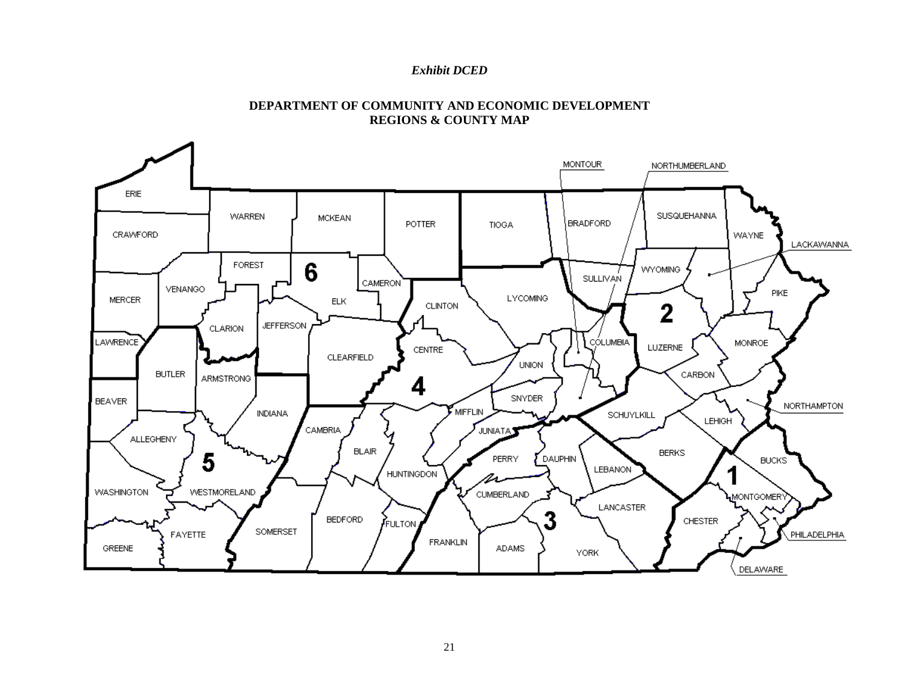### *Exhibit DCED*



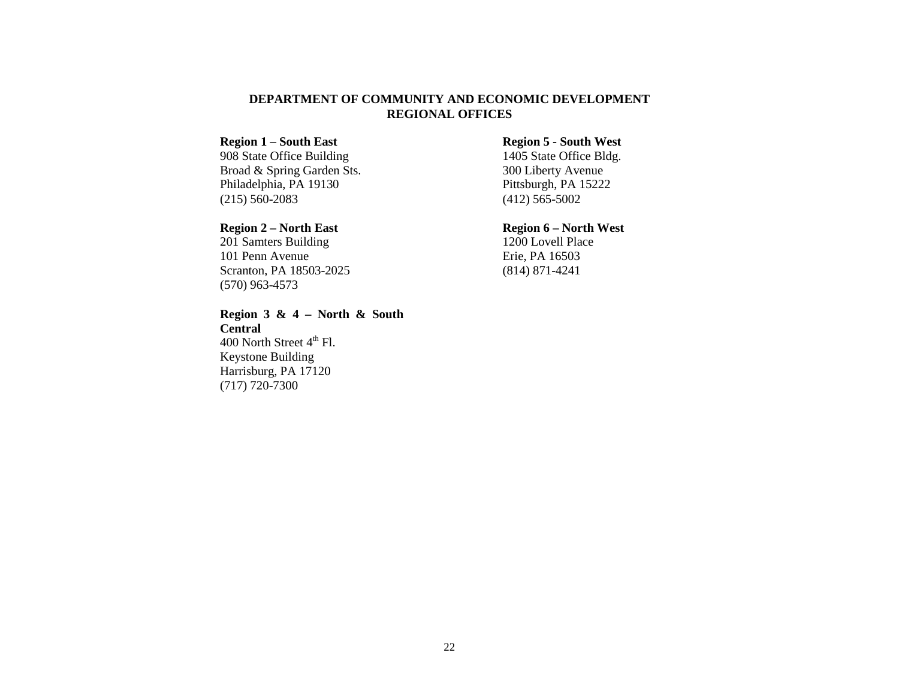### **DEPARTMENT OF COMMUNITY AND ECONOMIC DEVELOPMENT REGIONAL OFFICES**

908 State Office Building Broad & Spring Garden Sts. Philadelphia, PA 19130 (215) 560-2083

201 Samters Building 101 Penn Avenue Scranton, PA 18503-2025 (570) 963-4573

(717) 720-7300

# **Region 3 & 4 – North & South Central** 400 North Street  $4<sup>th</sup>$  Fl. Keystone Building Harrisburg, PA 17120

### **Region 1 – South East Region 5 - South West**

1405 State Office Bldg. 300 Liberty Avenue Pittsburgh, PA 15222 (412) 565-5002

#### **Region 2 – North East Region 6 – North West**

1200 Lovell Place Erie, PA 16503 (814) 871-4241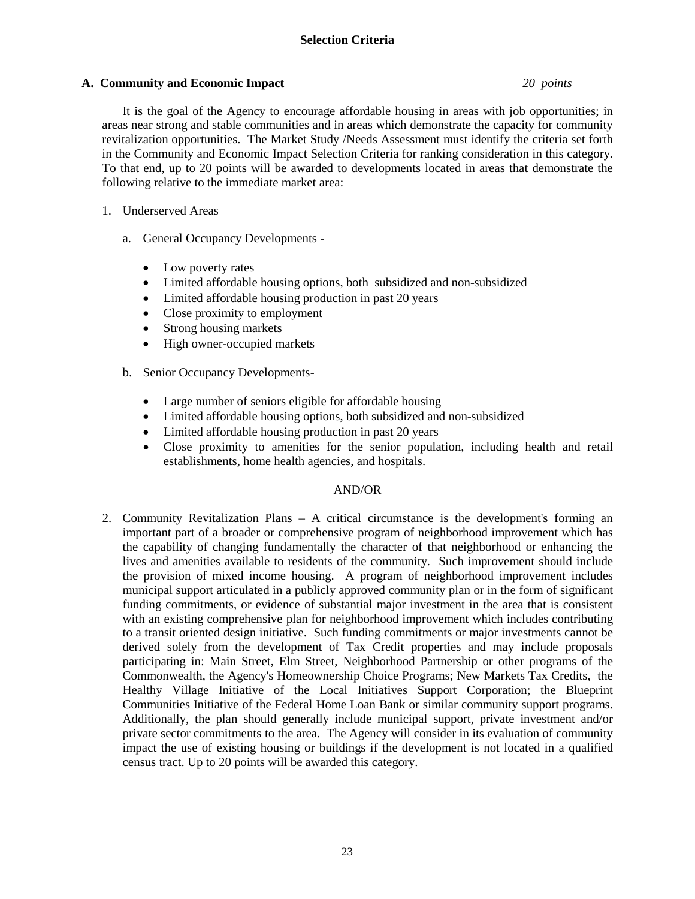# **A. Community and Economic Impact** *20 points*

It is the goal of the Agency to encourage affordable housing in areas with job opportunities; in areas near strong and stable communities and in areas which demonstrate the capacity for community revitalization opportunities. The Market Study /Needs Assessment must identify the criteria set forth in the Community and Economic Impact Selection Criteria for ranking consideration in this category. To that end, up to 20 points will be awarded to developments located in areas that demonstrate the following relative to the immediate market area:

# 1. Underserved Areas

- a. General Occupancy Developments
	- Low poverty rates
	- Limited affordable housing options, both subsidized and non-subsidized
	- Limited affordable housing production in past 20 years
	- Close proximity to employment
	- Strong housing markets
	- High owner-occupied markets
- b. Senior Occupancy Developments-
	- Large number of seniors eligible for affordable housing
	- Limited affordable housing options, both subsidized and non-subsidized
	- Limited affordable housing production in past 20 years
	- Close proximity to amenities for the senior population, including health and retail establishments, home health agencies, and hospitals.

# AND/OR

2. Community Revitalization Plans – A critical circumstance is the development's forming an important part of a broader or comprehensive program of neighborhood improvement which has the capability of changing fundamentally the character of that neighborhood or enhancing the lives and amenities available to residents of the community. Such improvement should include the provision of mixed income housing. A program of neighborhood improvement includes municipal support articulated in a publicly approved community plan or in the form of significant funding commitments, or evidence of substantial major investment in the area that is consistent with an existing comprehensive plan for neighborhood improvement which includes contributing to a transit oriented design initiative. Such funding commitments or major investments cannot be derived solely from the development of Tax Credit properties and may include proposals participating in: Main Street, Elm Street, Neighborhood Partnership or other programs of the Commonwealth, the Agency's Homeownership Choice Programs; New Markets Tax Credits, the Healthy Village Initiative of the Local Initiatives Support Corporation; the Blueprint Communities Initiative of the Federal Home Loan Bank or similar community support programs. Additionally, the plan should generally include municipal support, private investment and/or private sector commitments to the area. The Agency will consider in its evaluation of community impact the use of existing housing or buildings if the development is not located in a qualified census tract. Up to 20 points will be awarded this category.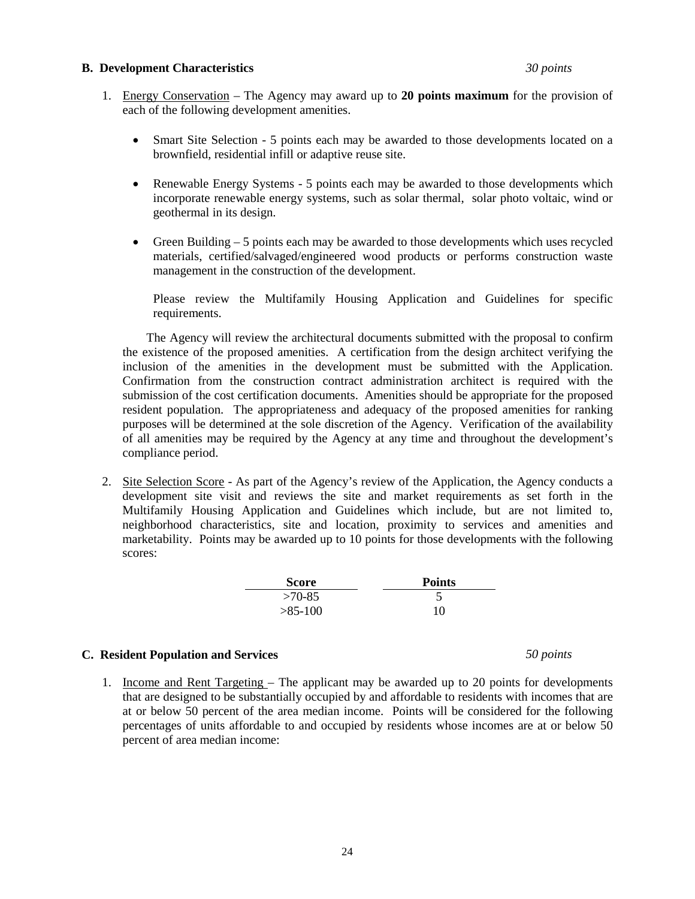### **B. Development Characteristics** *30 points*

- 1. Energy Conservation The Agency may award up to **20 points maximum** for the provision of each of the following development amenities.
	- Smart Site Selection 5 points each may be awarded to those developments located on a brownfield, residential infill or adaptive reuse site.
	- Renewable Energy Systems 5 points each may be awarded to those developments which incorporate renewable energy systems, such as solar thermal, solar photo voltaic, wind or geothermal in its design.
	- Green Building 5 points each may be awarded to those developments which uses recycled materials, certified/salvaged/engineered wood products or performs construction waste management in the construction of the development.

Please review the Multifamily Housing Application and Guidelines for specific requirements.

The Agency will review the architectural documents submitted with the proposal to confirm the existence of the proposed amenities. A certification from the design architect verifying the inclusion of the amenities in the development must be submitted with the Application. Confirmation from the construction contract administration architect is required with the submission of the cost certification documents. Amenities should be appropriate for the proposed resident population. The appropriateness and adequacy of the proposed amenities for ranking purposes will be determined at the sole discretion of the Agency. Verification of the availability of all amenities may be required by the Agency at any time and throughout the development's compliance period.

2. Site Selection Score - As part of the Agency's review of the Application, the Agency conducts a development site visit and reviews the site and market requirements as set forth in the Multifamily Housing Application and Guidelines which include, but are not limited to, neighborhood characteristics, site and location, proximity to services and amenities and marketability. Points may be awarded up to 10 points for those developments with the following scores:

| Score     | <b>Points</b> |
|-----------|---------------|
| $>70-85$  |               |
| $>85-100$ | 10            |

#### **C. Resident Population and Services** *50 points*

 $\overline{a}$ 

1. Income and Rent Targeting – The applicant may be awarded up to 20 points for developments that are designed to be substantially occupied by and affordable to residents with incomes that are at or below 50 percent of the area median income. Points will be considered for the following percentages of units affordable to and occupied by residents whose incomes are at or below 50 percent of area median income: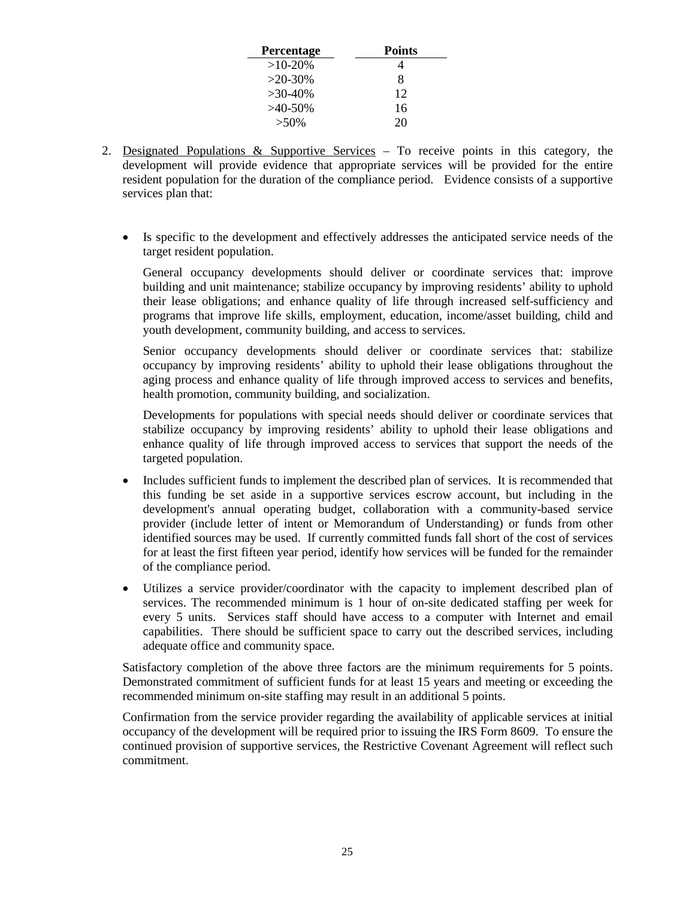| Percentage | <b>Points</b> |
|------------|---------------|
| $>10-20%$  |               |
| $>20-30%$  | 8             |
| $>30-40%$  | 12            |
| $>40-50\%$ | 16            |
| $>50\%$    | 20            |

- 2. Designated Populations & Supportive Services To receive points in this category, the development will provide evidence that appropriate services will be provided for the entire resident population for the duration of the compliance period. Evidence consists of a supportive services plan that:
	- Is specific to the development and effectively addresses the anticipated service needs of the target resident population.

General occupancy developments should deliver or coordinate services that: improve building and unit maintenance; stabilize occupancy by improving residents' ability to uphold their lease obligations; and enhance quality of life through increased self-sufficiency and programs that improve life skills, employment, education, income/asset building, child and youth development, community building, and access to services.

Senior occupancy developments should deliver or coordinate services that: stabilize occupancy by improving residents' ability to uphold their lease obligations throughout the aging process and enhance quality of life through improved access to services and benefits, health promotion, community building, and socialization.

Developments for populations with special needs should deliver or coordinate services that stabilize occupancy by improving residents' ability to uphold their lease obligations and enhance quality of life through improved access to services that support the needs of the targeted population.

- Includes sufficient funds to implement the described plan of services. It is recommended that this funding be set aside in a supportive services escrow account, but including in the development's annual operating budget, collaboration with a community-based service provider (include letter of intent or Memorandum of Understanding) or funds from other identified sources may be used. If currently committed funds fall short of the cost of services for at least the first fifteen year period, identify how services will be funded for the remainder of the compliance period.
- Utilizes a service provider/coordinator with the capacity to implement described plan of services. The recommended minimum is 1 hour of on-site dedicated staffing per week for every 5 units. Services staff should have access to a computer with Internet and email capabilities. There should be sufficient space to carry out the described services, including adequate office and community space.

Satisfactory completion of the above three factors are the minimum requirements for 5 points. Demonstrated commitment of sufficient funds for at least 15 years and meeting or exceeding the recommended minimum on-site staffing may result in an additional 5 points.

Confirmation from the service provider regarding the availability of applicable services at initial occupancy of the development will be required prior to issuing the IRS Form 8609. To ensure the continued provision of supportive services, the Restrictive Covenant Agreement will reflect such commitment.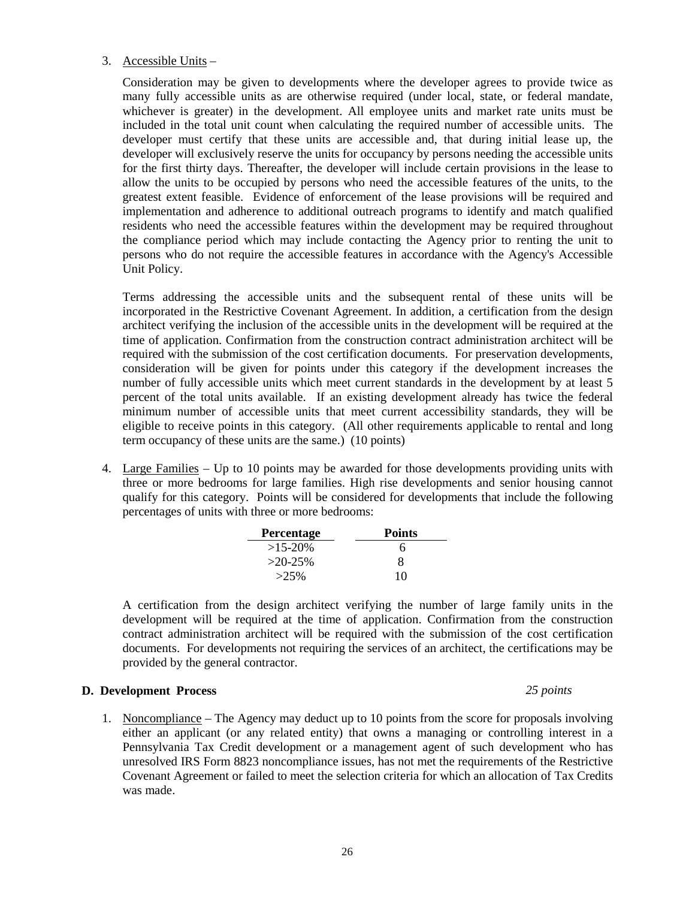### 3. Accessible Units –

Consideration may be given to developments where the developer agrees to provide twice as many fully accessible units as are otherwise required (under local, state, or federal mandate, whichever is greater) in the development. All employee units and market rate units must be included in the total unit count when calculating the required number of accessible units. The developer must certify that these units are accessible and, that during initial lease up, the developer will exclusively reserve the units for occupancy by persons needing the accessible units for the first thirty days. Thereafter, the developer will include certain provisions in the lease to allow the units to be occupied by persons who need the accessible features of the units, to the greatest extent feasible. Evidence of enforcement of the lease provisions will be required and implementation and adherence to additional outreach programs to identify and match qualified residents who need the accessible features within the development may be required throughout the compliance period which may include contacting the Agency prior to renting the unit to persons who do not require the accessible features in accordance with the Agency's Accessible Unit Policy.

Terms addressing the accessible units and the subsequent rental of these units will be incorporated in the Restrictive Covenant Agreement. In addition, a certification from the design architect verifying the inclusion of the accessible units in the development will be required at the time of application. Confirmation from the construction contract administration architect will be required with the submission of the cost certification documents. For preservation developments, consideration will be given for points under this category if the development increases the number of fully accessible units which meet current standards in the development by at least 5 percent of the total units available. If an existing development already has twice the federal minimum number of accessible units that meet current accessibility standards, they will be eligible to receive points in this category. (All other requirements applicable to rental and long term occupancy of these units are the same.) (10 points)

4. Large Families – Up to 10 points may be awarded for those developments providing units with three or more bedrooms for large families. High rise developments and senior housing cannot qualify for this category. Points will be considered for developments that include the following percentages of units with three or more bedrooms:

| Percentage | <b>Points</b> |
|------------|---------------|
| $>15-20\%$ | h             |
| $>20-25\%$ | 8             |
| $>25\%$    | 10            |

A certification from the design architect verifying the number of large family units in the development will be required at the time of application. Confirmation from the construction contract administration architect will be required with the submission of the cost certification documents. For developments not requiring the services of an architect, the certifications may be provided by the general contractor.

#### **D. Development Process** *25 points*

1. Noncompliance – The Agency may deduct up to 10 points from the score for proposals involving either an applicant (or any related entity) that owns a managing or controlling interest in a Pennsylvania Tax Credit development or a management agent of such development who has unresolved IRS Form 8823 noncompliance issues, has not met the requirements of the Restrictive Covenant Agreement or failed to meet the selection criteria for which an allocation of Tax Credits was made.